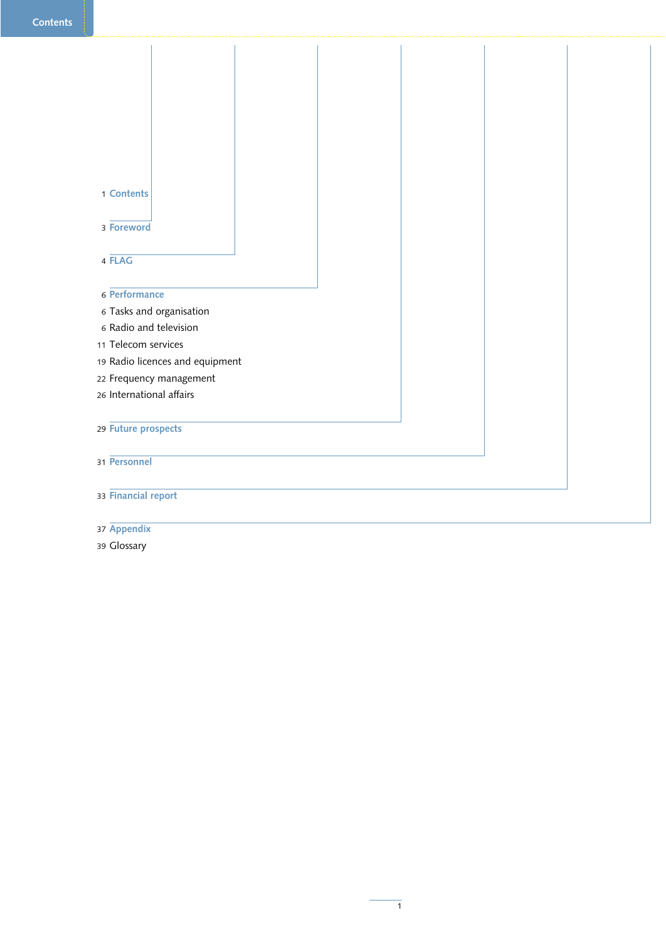| 1 Contents                                         |  |  |  |
|----------------------------------------------------|--|--|--|
|                                                    |  |  |  |
| 3 Foreword                                         |  |  |  |
|                                                    |  |  |  |
| 4 FLAG                                             |  |  |  |
| 6 Performance                                      |  |  |  |
|                                                    |  |  |  |
| 6 Tasks and organisation<br>6 Radio and television |  |  |  |
| 11 Telecom services                                |  |  |  |
| 19 Radio licences and equipment                    |  |  |  |
| 22 Frequency management                            |  |  |  |
| 26 International affairs                           |  |  |  |
|                                                    |  |  |  |
| 29 Future prospects                                |  |  |  |
|                                                    |  |  |  |
| 31 Personnel                                       |  |  |  |
|                                                    |  |  |  |
| 33 Financial report                                |  |  |  |
|                                                    |  |  |  |
| 37 Appendix                                        |  |  |  |

Glossary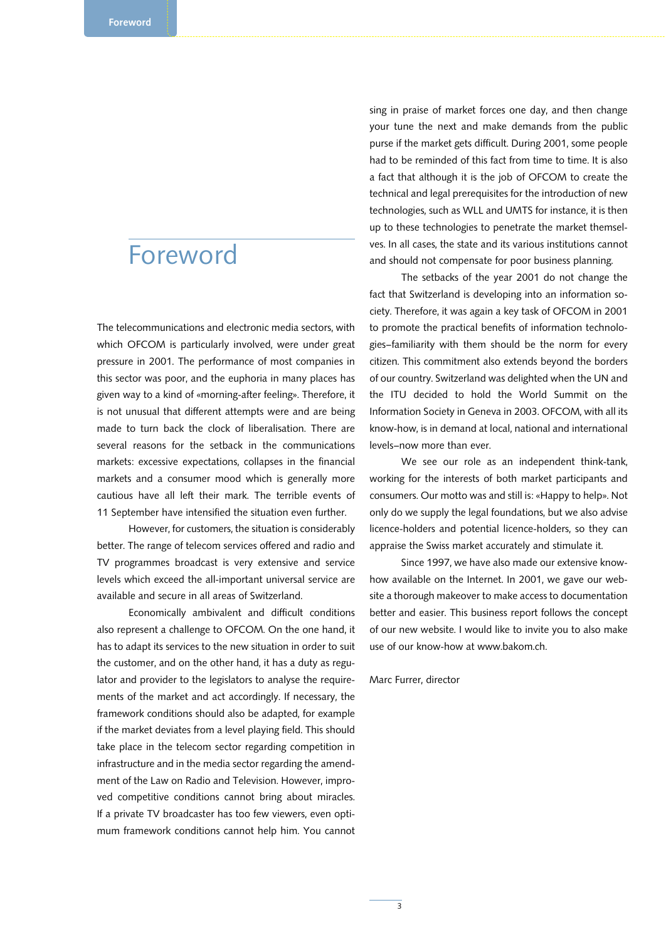## Foreword

The telecommunications and electronic media sectors, with which OFCOM is particularly involved, were under great pressure in 2001. The performance of most companies in this sector was poor, and the euphoria in many places has given way to a kind of «morning-after feeling». Therefore, it is not unusual that different attempts were and are being made to turn back the clock of liberalisation. There are several reasons for the setback in the communications markets: excessive expectations, collapses in the financial markets and a consumer mood which is generally more cautious have all left their mark. The terrible events of 11 September have intensified the situation even further.

However, for customers, the situation is considerably better. The range of telecom services offered and radio and TV programmes broadcast is very extensive and service levels which exceed the all-important universal service are available and secure in all areas of Switzerland.

Economically ambivalent and difficult conditions also represent a challenge to OFCOM. On the one hand, it has to adapt its services to the new situation in order to suit the customer, and on the other hand, it has a duty as regulator and provider to the legislators to analyse the requirements of the market and act accordingly. If necessary, the framework conditions should also be adapted, for example if the market deviates from a level playing field. This should take place in the telecom sector regarding competition in infrastructure and in the media sector regarding the amendment of the Law on Radio and Television. However, improved competitive conditions cannot bring about miracles. If a private TV broadcaster has too few viewers, even optimum framework conditions cannot help him. You cannot sing in praise of market forces one day, and then change your tune the next and make demands from the public purse if the market gets difficult. During 2001, some people had to be reminded of this fact from time to time. It is also a fact that although it is the job of OFCOM to create the technical and legal prerequisites for the introduction of new technologies, such as WLL and UMTS for instance, it is then up to these technologies to penetrate the market themselves. In all cases, the state and its various institutions cannot and should not compensate for poor business planning.

The setbacks of the year 2001 do not change the fact that Switzerland is developing into an information society. Therefore, it was again a key task of OFCOM in 2001 to promote the practical benefits of information technologies–familiarity with them should be the norm for every citizen. This commitment also extends beyond the borders of our country. Switzerland was delighted when the UN and the ITU decided to hold the World Summit on the Information Society in Geneva in 2003. OFCOM, with all its know-how, is in demand at local, national and international levels–now more than ever.

We see our role as an independent think-tank, working for the interests of both market participants and consumers. Our motto was and still is: «Happy to help». Not only do we supply the legal foundations, but we also advise licence-holders and potential licence-holders, so they can appraise the Swiss market accurately and stimulate it.

Since 1997, we have also made our extensive knowhow available on the Internet. In 2001, we gave our website a thorough makeover to make access to documentation better and easier. This business report follows the concept of our new website. I would like to invite you to also make use of our know-how at www.bakom.ch.

#### Marc Furrer, director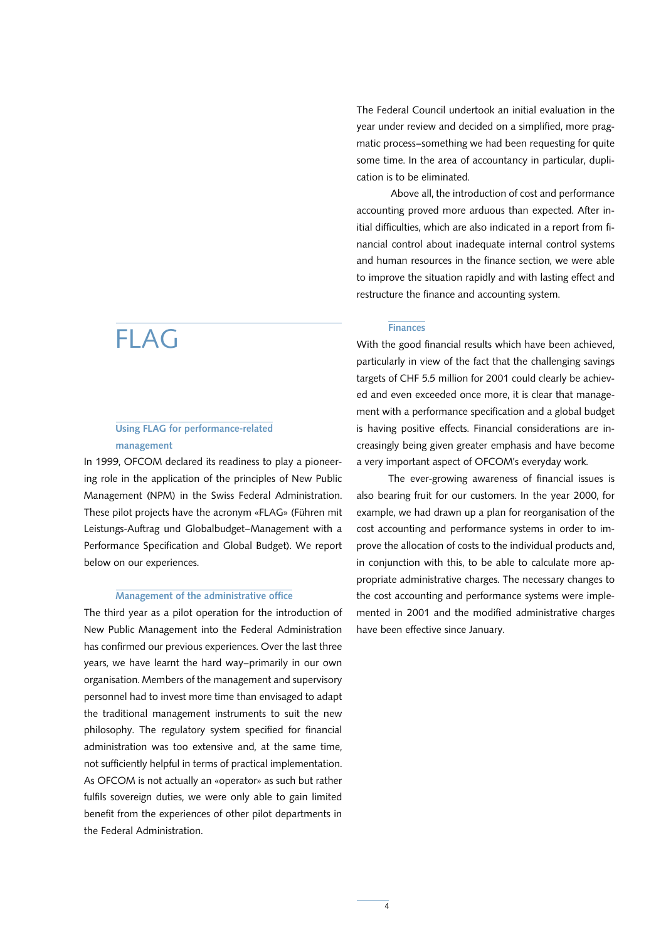## FLAG

## Using FLAG for performance-related management

In 1999, OFCOM declared its readiness to play a pioneering role in the application of the principles of New Public Management (NPM) in the Swiss Federal Administration. These pilot projects have the acronym «FLAG» (Führen mit Leistungs-Auftrag und Globalbudget–Management with a Performance Specification and Global Budget). We report below on our experiences.

#### Management of the administrative office

The third year as a pilot operation for the introduction of New Public Management into the Federal Administration has confirmed our previous experiences. Over the last three years, we have learnt the hard way–primarily in our own organisation. Members of the management and supervisory personnel had to invest more time than envisaged to adapt the traditional management instruments to suit the new philosophy. The regulatory system specified for financial administration was too extensive and, at the same time, not sufficiently helpful in terms of practical implementation. As OFCOM is not actually an «operator» as such but rather fulfils sovereign duties, we were only able to gain limited benefit from the experiences of other pilot departments in the Federal Administration.

The Federal Council undertook an initial evaluation in the year under review and decided on a simplified, more pragmatic process–something we had been requesting for quite some time. In the area of accountancy in particular, duplication is to be eliminated.

Above all, the introduction of cost and performance accounting proved more arduous than expected. After initial difficulties, which are also indicated in a report from financial control about inadequate internal control systems and human resources in the finance section, we were able to improve the situation rapidly and with lasting effect and restructure the finance and accounting system.

#### Finances

With the good financial results which have been achieved, particularly in view of the fact that the challenging savings targets of CHF 5.5 million for 2001 could clearly be achieved and even exceeded once more, it is clear that management with a performance specification and a global budget is having positive effects. Financial considerations are increasingly being given greater emphasis and have become a very important aspect of OFCOM's everyday work.

The ever-growing awareness of financial issues is also bearing fruit for our customers. In the year 2000, for example, we had drawn up a plan for reorganisation of the cost accounting and performance systems in order to improve the allocation of costs to the individual products and, in conjunction with this, to be able to calculate more appropriate administrative charges. The necessary changes to the cost accounting and performance systems were implemented in 2001 and the modified administrative charges have been effective since January.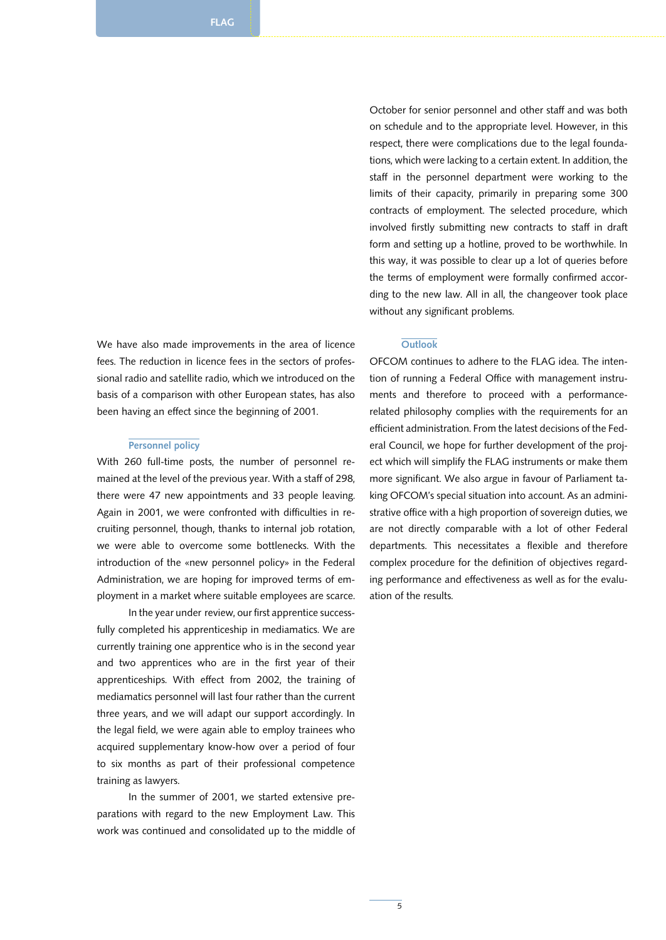We have also made improvements in the area of licence fees. The reduction in licence fees in the sectors of professional radio and satellite radio, which we introduced on the basis of a comparison with other European states, has also been having an effect since the beginning of 2001.

#### Personnel policy

With 260 full-time posts, the number of personnel remained at the level of the previous year. With a staff of 298, there were 47 new appointments and 33 people leaving. Again in 2001, we were confronted with difficulties in recruiting personnel, though, thanks to internal job rotation, we were able to overcome some bottlenecks. With the introduction of the «new personnel policy» in the Federal Administration, we are hoping for improved terms of employment in a market where suitable employees are scarce.

In the year under review, our first apprentice successfully completed his apprenticeship in mediamatics. We are currently training one apprentice who is in the second year and two apprentices who are in the first year of their apprenticeships. With effect from 2002, the training of mediamatics personnel will last four rather than the current three years, and we will adapt our support accordingly. In the legal field, we were again able to employ trainees who acquired supplementary know-how over a period of four to six months as part of their professional competence training as lawyers.

In the summer of 2001, we started extensive preparations with regard to the new Employment Law. This work was continued and consolidated up to the middle of

October for senior personnel and other staff and was both on schedule and to the appropriate level. However, in this respect, there were complications due to the legal foundations, which were lacking to a certain extent. In addition, the staff in the personnel department were working to the limits of their capacity, primarily in preparing some 300 contracts of employment. The selected procedure, which involved firstly submitting new contracts to staff in draft form and setting up a hotline, proved to be worthwhile. In this way, it was possible to clear up a lot of queries before the terms of employment were formally confirmed according to the new law. All in all, the changeover took place without any significant problems.

#### **Outlook**

OFCOM continues to adhere to the FLAG idea. The intention of running a Federal Office with management instruments and therefore to proceed with a performancerelated philosophy complies with the requirements for an efficient administration. From the latest decisions of the Federal Council, we hope for further development of the project which will simplify the FLAG instruments or make them more significant. We also argue in favour of Parliament taking OFCOM's special situation into account. As an administrative office with a high proportion of sovereign duties, we are not directly comparable with a lot of other Federal departments. This necessitates a flexible and therefore complex procedure for the definition of objectives regarding performance and effectiveness as well as for the evaluation of the results.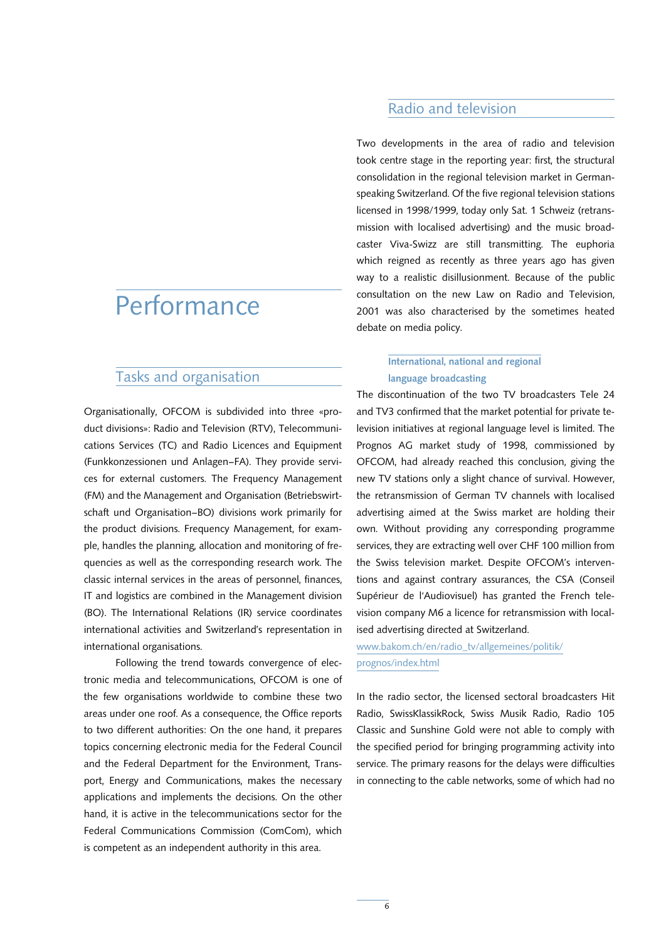## **Performance**

## Tasks and organisation

Organisationally, OFCOM is subdivided into three «product divisions»: Radio and Television (RTV), Telecommunications Services (TC) and Radio Licences and Equipment (Funkkonzessionen und Anlagen–FA). They provide services for external customers. The Frequency Management (FM) and the Management and Organisation (Betriebswirtschaft und Organisation–BO) divisions work primarily for the product divisions. Frequency Management, for example, handles the planning, allocation and monitoring of frequencies as well as the corresponding research work. The classic internal services in the areas of personnel, finances, IT and logistics are combined in the Management division (BO). The International Relations (IR) service coordinates international activities and Switzerland's representation in international organisations.

Following the trend towards convergence of electronic media and telecommunications, OFCOM is one of the few organisations worldwide to combine these two areas under one roof. As a consequence, the Office reports to two different authorities: On the one hand, it prepares topics concerning electronic media for the Federal Council and the Federal Department for the Environment, Transport, Energy and Communications, makes the necessary applications and implements the decisions. On the other hand, it is active in the telecommunications sector for the Federal Communications Commission (ComCom), which is competent as an independent authority in this area.

## Radio and television

Two developments in the area of radio and television took centre stage in the reporting year: first, the structural consolidation in the regional television market in Germanspeaking Switzerland. Of the five regional television stations licensed in 1998/1999, today only Sat. 1 Schweiz (retransmission with localised advertising) and the music broadcaster Viva-Swizz are still transmitting. The euphoria which reigned as recently as three years ago has given way to a realistic disillusionment. Because of the public consultation on the new Law on Radio and Television, 2001 was also characterised by the sometimes heated debate on media policy.

## International, national and regional language broadcasting

The discontinuation of the two TV broadcasters Tele 24 and TV3 confirmed that the market potential for private television initiatives at regional language level is limited. The Prognos AG market study of 1998, commissioned by OFCOM, had already reached this conclusion, giving the new TV stations only a slight chance of survival. However, the retransmission of German TV channels with localised advertising aimed at the Swiss market are holding their own. Without providing any corresponding programme services, they are extracting well over CHF 100 million from the Swiss television market. Despite OFCOM's interventions and against contrary assurances, the CSA (Conseil Supérieur de l'Audiovisuel) has granted the French television company M6 a licence for retransmission with localised advertising directed at Switzerland.

www.bakom.ch/en/radio\_tv/allgemeines/politik/ prognos/index.html

In the radio sector, the licensed sectoral broadcasters Hit Radio, SwissKlassikRock, Swiss Musik Radio, Radio 105 Classic and Sunshine Gold were not able to comply with the specified period for bringing programming activity into service. The primary reasons for the delays were difficulties in connecting to the cable networks, some of which had no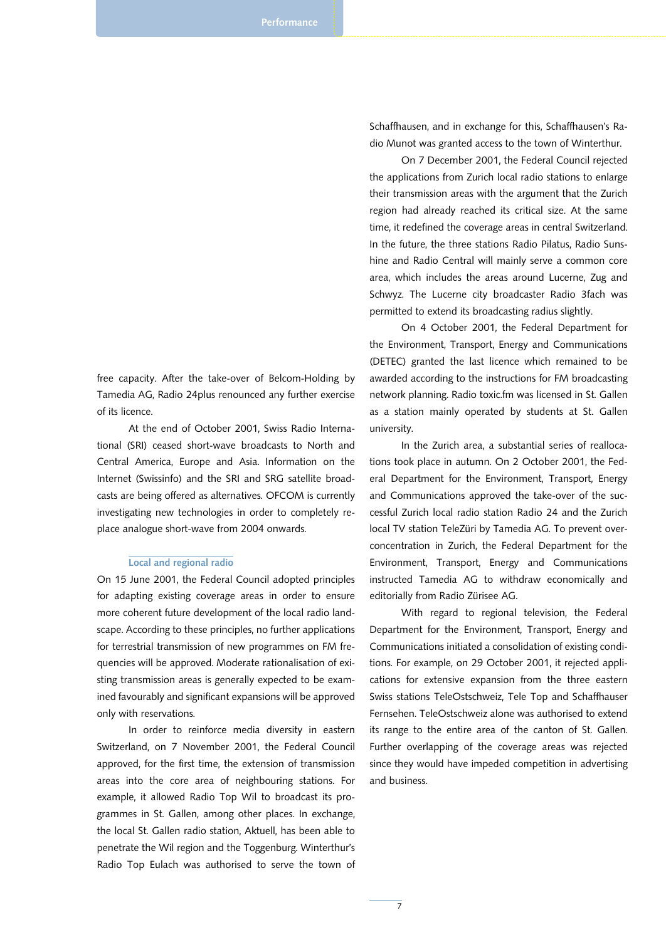free capacity. After the take-over of Belcom-Holding by Tamedia AG, Radio 24plus renounced any further exercise of its licence.

At the end of October 2001, Swiss Radio International (SRI) ceased short-wave broadcasts to North and Central America, Europe and Asia. Information on the Internet (Swissinfo) and the SRI and SRG satellite broadcasts are being offered as alternatives. OFCOM is currently investigating new technologies in order to completely replace analogue short-wave from 2004 onwards.

#### Local and regional radio

On 15 June 2001, the Federal Council adopted principles for adapting existing coverage areas in order to ensure more coherent future development of the local radio landscape. According to these principles, no further applications for terrestrial transmission of new programmes on FM frequencies will be approved. Moderate rationalisation of existing transmission areas is generally expected to be examined favourably and significant expansions will be approved only with reservations.

In order to reinforce media diversity in eastern Switzerland, on 7 November 2001, the Federal Council approved, for the first time, the extension of transmission areas into the core area of neighbouring stations. For example, it allowed Radio Top Wil to broadcast its programmes in St. Gallen, among other places. In exchange, the local St. Gallen radio station, Aktuell, has been able to penetrate the Wil region and the Toggenburg. Winterthur's Radio Top Eulach was authorised to serve the town of Schaffhausen, and in exchange for this, Schaffhausen's Radio Munot was granted access to the town of Winterthur.

On 7 December 2001, the Federal Council rejected the applications from Zurich local radio stations to enlarge their transmission areas with the argument that the Zurich region had already reached its critical size. At the same time, it redefined the coverage areas in central Switzerland. In the future, the three stations Radio Pilatus, Radio Sunshine and Radio Central will mainly serve a common core area, which includes the areas around Lucerne, Zug and Schwyz. The Lucerne city broadcaster Radio 3fach was permitted to extend its broadcasting radius slightly.

On 4 October 2001, the Federal Department for the Environment, Transport, Energy and Communications (DETEC) granted the last licence which remained to be awarded according to the instructions for FM broadcasting network planning. Radio toxic.fm was licensed in St. Gallen as a station mainly operated by students at St. Gallen university.

In the Zurich area, a substantial series of reallocations took place in autumn. On 2 October 2001, the Federal Department for the Environment, Transport, Energy and Communications approved the take-over of the successful Zurich local radio station Radio 24 and the Zurich local TV station TeleZüri by Tamedia AG. To prevent overconcentration in Zurich, the Federal Department for the Environment, Transport, Energy and Communications instructed Tamedia AG to withdraw economically and editorially from Radio Zürisee AG.

With regard to regional television, the Federal Department for the Environment, Transport, Energy and Communications initiated a consolidation of existing conditions. For example, on 29 October 2001, it rejected applications for extensive expansion from the three eastern Swiss stations TeleOstschweiz, Tele Top and Schaffhauser Fernsehen. TeleOstschweiz alone was authorised to extend its range to the entire area of the canton of St. Gallen. Further overlapping of the coverage areas was rejected since they would have impeded competition in advertising and business.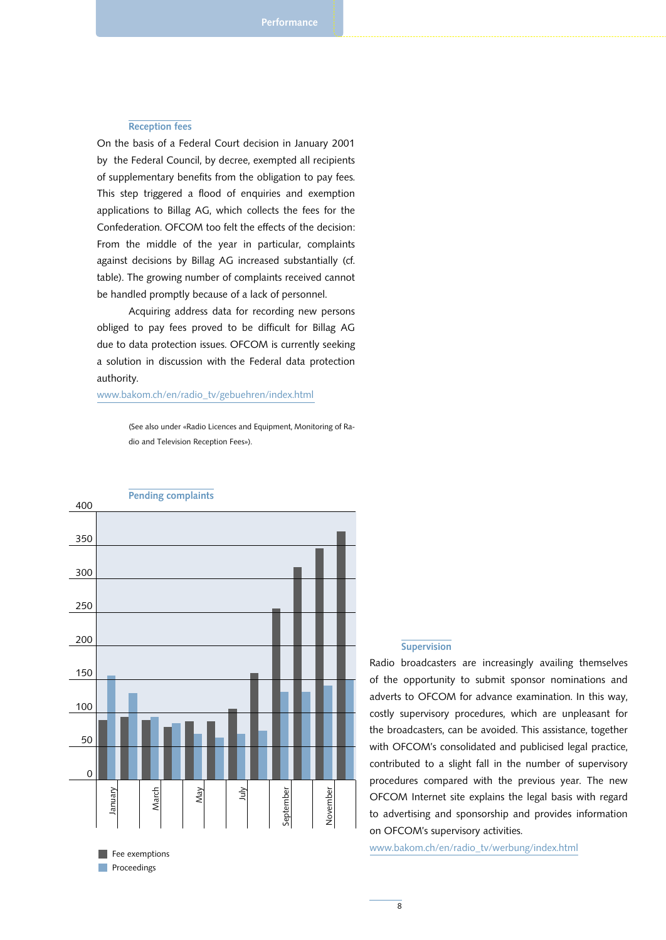#### Reception fees

On the basis of a Federal Court decision in January 2001 by the Federal Council, by decree, exempted all recipients of supplementary benefits from the obligation to pay fees. This step triggered a flood of enquiries and exemption applications to Billag AG, which collects the fees for the Confederation. OFCOM too felt the effects of the decision: From the middle of the year in particular, complaints against decisions by Billag AG increased substantially (cf. table). The growing number of complaints received cannot be handled promptly because of a lack of personnel.

Acquiring address data for recording new persons obliged to pay fees proved to be difficult for Billag AG due to data protection issues. OFCOM is currently seeking a solution in discussion with the Federal data protection authority.

www.bakom.ch/en/radio\_tv/gebuehren/index.html

(See also under «Radio Licences and Equipment, Monitoring of Radio and Television Reception Fees»).



#### **Supervision**

Radio broadcasters are increasingly availing themselves of the opportunity to submit sponsor nominations and adverts to OFCOM for advance examination. In this way, costly supervisory procedures, which are unpleasant for the broadcasters, can be avoided. This assistance, together with OFCOM's consolidated and publicised legal practice, contributed to a slight fall in the number of supervisory procedures compared with the previous year. The new OFCOM Internet site explains the legal basis with regard to advertising and sponsorship and provides information on OFCOM's supervisory activities.

www.bakom.ch/en/radio\_tv/werbung/index.html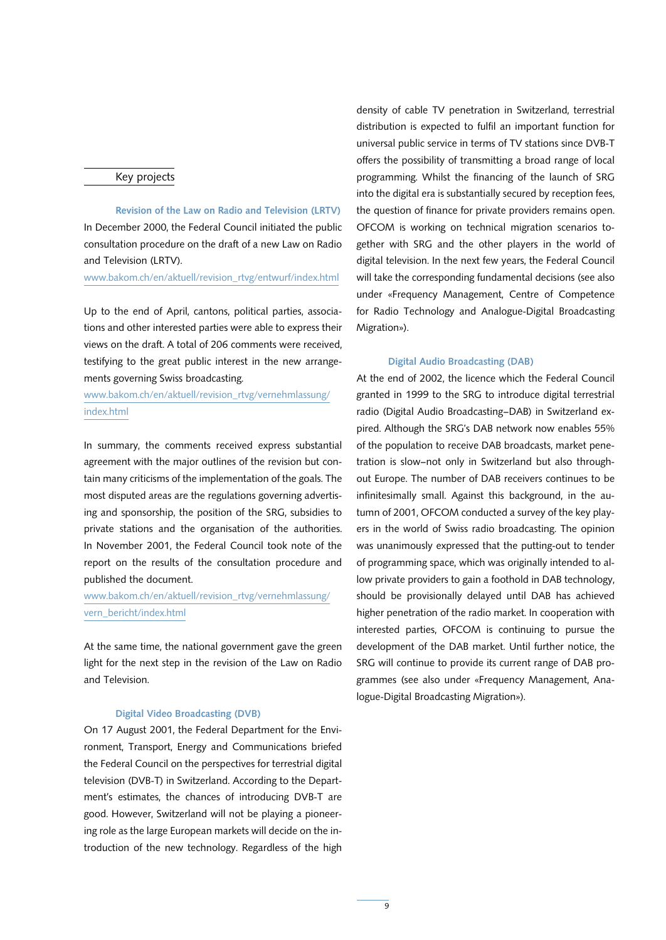#### Key projects

Revision of the Law on Radio and Television (LRTV) In December 2000, the Federal Council initiated the public consultation procedure on the draft of a new Law on Radio and Television (LRTV).

www.bakom.ch/en/aktuell/revision\_rtvg/entwurf/index.html

Up to the end of April, cantons, political parties, associations and other interested parties were able to express their views on the draft. A total of 206 comments were received, testifying to the great public interest in the new arrangements governing Swiss broadcasting.

www.bakom.ch/en/aktuell/revision\_rtvg/vernehmlassung/ index.html

In summary, the comments received express substantial agreement with the major outlines of the revision but contain many criticisms of the implementation of the goals. The most disputed areas are the regulations governing advertising and sponsorship, the position of the SRG, subsidies to private stations and the organisation of the authorities. In November 2001, the Federal Council took note of the report on the results of the consultation procedure and published the document.

www.bakom.ch/en/aktuell/revision\_rtvg/vernehmlassung/ vern\_bericht/index.html

At the same time, the national government gave the green light for the next step in the revision of the Law on Radio and Television.

#### Digital Video Broadcasting (DVB)

On 17 August 2001, the Federal Department for the Environment, Transport, Energy and Communications briefed the Federal Council on the perspectives for terrestrial digital television (DVB-T) in Switzerland. According to the Department's estimates, the chances of introducing DVB-T are good. However, Switzerland will not be playing a pioneering role as the large European markets will decide on the introduction of the new technology. Regardless of the high

density of cable TV penetration in Switzerland, terrestrial distribution is expected to fulfil an important function for universal public service in terms of TV stations since DVB-T offers the possibility of transmitting a broad range of local programming. Whilst the financing of the launch of SRG into the digital era is substantially secured by reception fees, the question of finance for private providers remains open. OFCOM is working on technical migration scenarios together with SRG and the other players in the world of digital television. In the next few years, the Federal Council will take the corresponding fundamental decisions (see also under «Frequency Management, Centre of Competence for Radio Technology and Analogue-Digital Broadcasting Migration»).

#### Digital Audio Broadcasting (DAB)

At the end of 2002, the licence which the Federal Council granted in 1999 to the SRG to introduce digital terrestrial radio (Digital Audio Broadcasting–DAB) in Switzerland expired. Although the SRG's DAB network now enables 55% of the population to receive DAB broadcasts, market penetration is slow–not only in Switzerland but also throughout Europe. The number of DAB receivers continues to be infinitesimally small. Against this background, in the autumn of 2001, OFCOM conducted a survey of the key players in the world of Swiss radio broadcasting. The opinion was unanimously expressed that the putting-out to tender of programming space, which was originally intended to allow private providers to gain a foothold in DAB technology, should be provisionally delayed until DAB has achieved higher penetration of the radio market. In cooperation with interested parties, OFCOM is continuing to pursue the development of the DAB market. Until further notice, the SRG will continue to provide its current range of DAB programmes (see also under «Frequency Management, Analogue-Digital Broadcasting Migration»).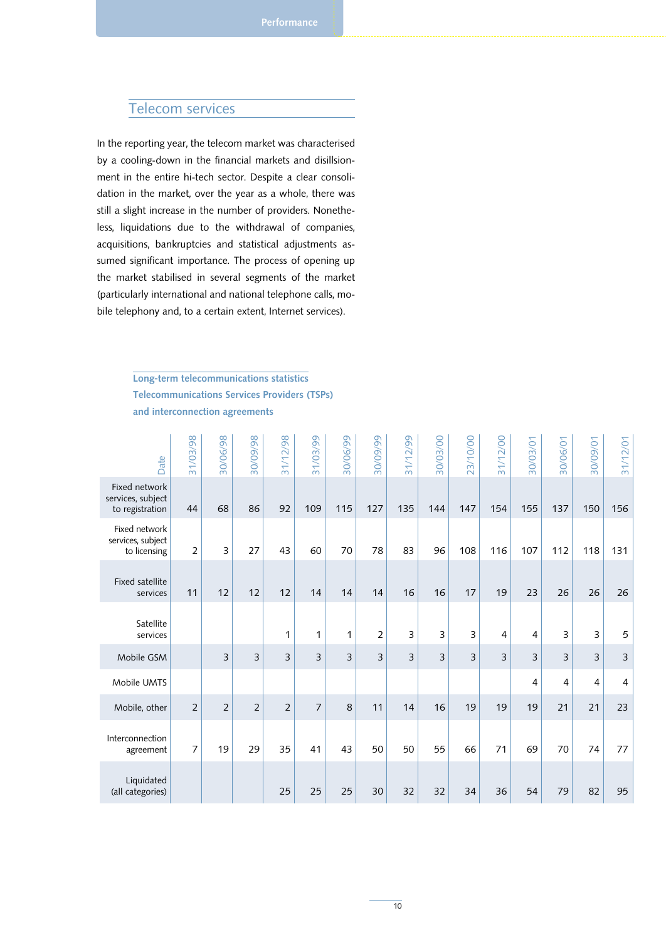## Telecom services

In the reporting year, the telecom market was characterised by a cooling-down in the financial markets and disillsionment in the entire hi-tech sector. Despite a clear consolidation in the market, over the year as a whole, there was still a slight increase in the number of providers. Nonetheless, liquidations due to the withdrawal of companies, acquisitions, bankruptcies and statistical adjustments assumed significant importance. The process of opening up the market stabilised in several segments of the market (particularly international and national telephone calls, mobile telephony and, to a certain extent, Internet services).

> Long-term telecommunications statistics Telecommunications Services Providers (TSPs) and interconnection agreements

| Date                                                  | 31/03/98       | 86/90/08       | 86/60/08       | 31/12/98       | 31/03/99 | 80/06/99       | 86/60/08       | 31/12/99 | 30/03/00 | 23/10/00 | 31/12/00 | 30/03/01 | 30/06/01       | 30/09/01       | 31/12/01       |
|-------------------------------------------------------|----------------|----------------|----------------|----------------|----------|----------------|----------------|----------|----------|----------|----------|----------|----------------|----------------|----------------|
| Fixed network<br>services, subject<br>to registration | 44             | 68             | 86             | 92             | 109      | 115            | 127            | 135      | 144      | 147      | 154      | 155      | 137            | 150            | 156            |
| Fixed network<br>services, subject<br>to licensing    | $\overline{2}$ | 3              | 27             | 43             | 60       | 70             | 78             | 83       | 96       | 108      | 116      | 107      | 112            | 118            | 131            |
| <b>Fixed satellite</b><br>services                    | 11             | 12             | 12             | 12             | 14       | 14             | 14             | 16       | 16       | 17       | 19       | 23       | 26             | 26             | 26             |
| Satellite<br>services                                 |                |                |                | 1              | 1        | 1              | $\overline{2}$ | 3        | 3        | 3        | 4        | 4        | 3              | 3              | 5              |
| Mobile GSM                                            |                | $\overline{3}$ | 3              | 3              | 3        | $\overline{3}$ | 3              | 3        | 3        | 3        | 3        | 3        | $\overline{3}$ | 3              | 3              |
| Mobile UMTS                                           |                |                |                |                |          |                |                |          |          |          |          | 4        | 4              | $\overline{4}$ | $\overline{4}$ |
| Mobile, other                                         | $\overline{2}$ | $\overline{2}$ | $\overline{2}$ | $\overline{2}$ | 7        | 8              | 11             | 14       | 16       | 19       | 19       | 19       | 21             | 21             | 23             |
| Interconnection<br>agreement                          | 7              | 19             | 29             | 35             | 41       | 43             | 50             | 50       | 55       | 66       | 71       | 69       | 70             | 74             | 77             |
| Liquidated<br>(all categories)                        |                |                |                | 25             | 25       | 25             | 30             | 32       | 32       | 34       | 36       | 54       | 79             | 82             | 95             |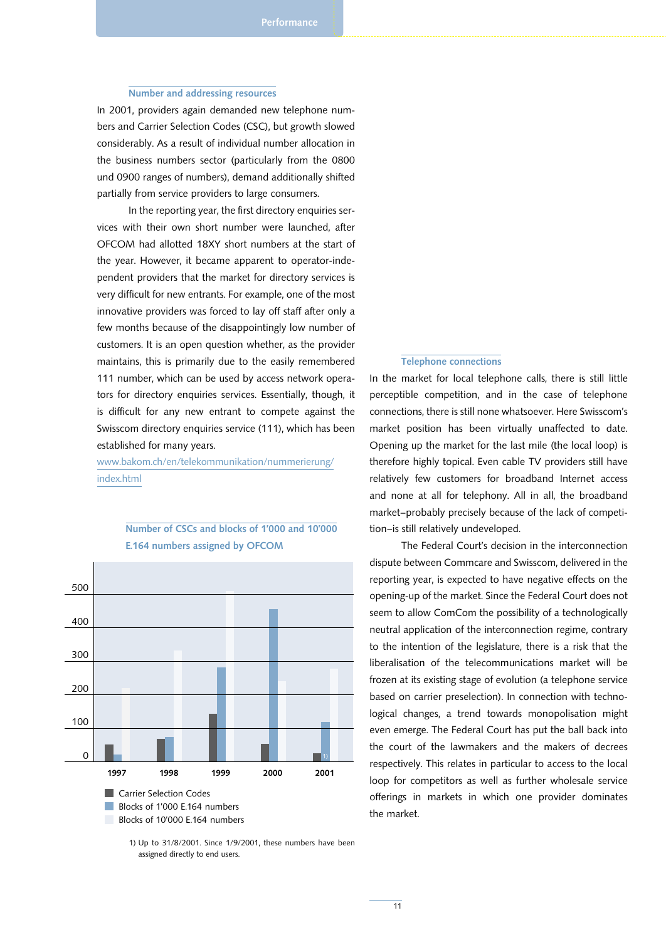#### Number and addressing resources

In 2001, providers again demanded new telephone numbers and Carrier Selection Codes (CSC), but growth slowed considerably. As a result of individual number allocation in the business numbers sector (particularly from the 0800 und 0900 ranges of numbers), demand additionally shifted partially from service providers to large consumers.

In the reporting year, the first directory enquiries services with their own short number were launched, after OFCOM had allotted 18XY short numbers at the start of the year. However, it became apparent to operator-independent providers that the market for directory services is very difficult for new entrants. For example, one of the most innovative providers was forced to lay off staff after only a few months because of the disappointingly low number of customers. It is an open question whether, as the provider maintains, this is primarily due to the easily remembered 111 number, which can be used by access network operators for directory enquiries services. Essentially, though, it is difficult for any new entrant to compete against the Swisscom directory enquiries service (111), which has been established for many years.

www.bakom.ch/en/telekommunikation/nummerierung/ index.html



## Number of CSCs and blocks of 1'000 and 10'000 E.164 numbers assigned by OFCOM

## Telephone connections

In the market for local telephone calls, there is still little perceptible competition, and in the case of telephone connections, there is still none whatsoever. Here Swisscom's market position has been virtually unaffected to date. Opening up the market for the last mile (the local loop) is therefore highly topical. Even cable TV providers still have relatively few customers for broadband Internet access and none at all for telephony. All in all, the broadband market–probably precisely because of the lack of competition–is still relatively undeveloped.

The Federal Court's decision in the interconnection dispute between Commcare and Swisscom, delivered in the reporting year, is expected to have negative effects on the opening-up of the market. Since the Federal Court does not seem to allow ComCom the possibility of a technologically neutral application of the interconnection regime, contrary to the intention of the legislature, there is a risk that the liberalisation of the telecommunications market will be frozen at its existing stage of evolution (a telephone service based on carrier preselection). In connection with technological changes, a trend towards monopolisation might even emerge. The Federal Court has put the ball back into the court of the lawmakers and the makers of decrees respectively. This relates in particular to access to the local loop for competitors as well as further wholesale service offerings in markets in which one provider dominates the market.

1) Up to 31/8/2001. Since 1/9/2001, these numbers have been assigned directly to end users.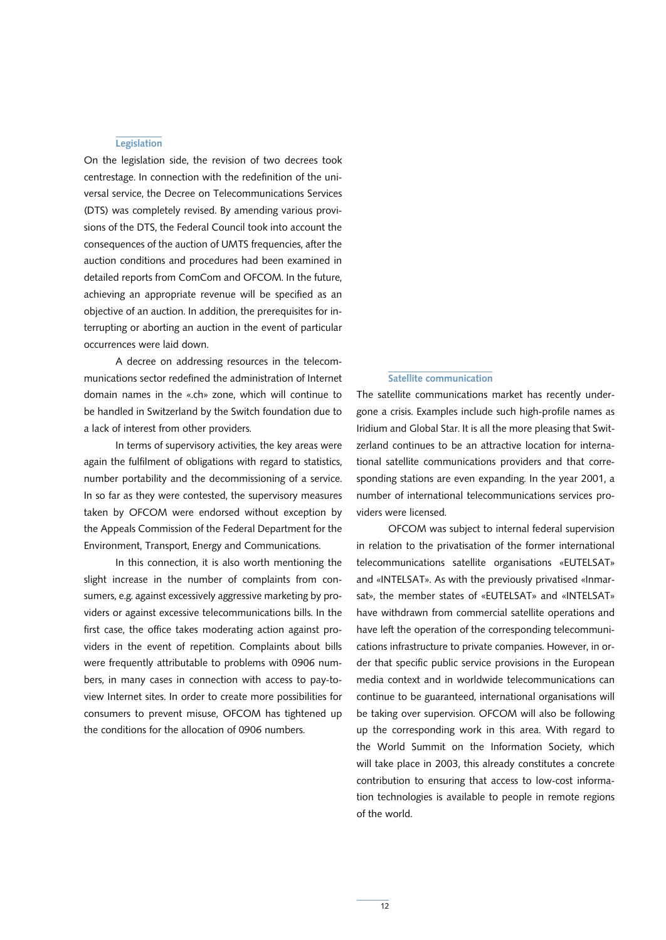#### **Legislation**

On the legislation side, the revision of two decrees took centrestage. In connection with the redefinition of the universal service, the Decree on Telecommunications Services (DTS) was completely revised. By amending various provisions of the DTS, the Federal Council took into account the consequences of the auction of UMTS frequencies, after the auction conditions and procedures had been examined in detailed reports from ComCom and OFCOM. In the future, achieving an appropriate revenue will be specified as an objective of an auction. In addition, the prerequisites for interrupting or aborting an auction in the event of particular occurrences were laid down.

A decree on addressing resources in the telecommunications sector redefined the administration of Internet domain names in the «.ch» zone, which will continue to be handled in Switzerland by the Switch foundation due to a lack of interest from other providers.

In terms of supervisory activities, the key areas were again the fulfilment of obligations with regard to statistics, number portability and the decommissioning of a service. In so far as they were contested, the supervisory measures taken by OFCOM were endorsed without exception by the Appeals Commission of the Federal Department for the Environment, Transport, Energy and Communications.

In this connection, it is also worth mentioning the slight increase in the number of complaints from consumers, e.g. against excessively aggressive marketing by providers or against excessive telecommunications bills. In the first case, the office takes moderating action against providers in the event of repetition. Complaints about bills were frequently attributable to problems with 0906 numbers, in many cases in connection with access to pay-toview Internet sites. In order to create more possibilities for consumers to prevent misuse, OFCOM has tightened up the conditions for the allocation of 0906 numbers.

#### Satellite communication

The satellite communications market has recently undergone a crisis. Examples include such high-profile names as Iridium and Global Star. It is all the more pleasing that Switzerland continues to be an attractive location for international satellite communications providers and that corresponding stations are even expanding. In the year 2001, a number of international telecommunications services providers were licensed.

OFCOM was subject to internal federal supervision in relation to the privatisation of the former international telecommunications satellite organisations «EUTELSAT» and «INTELSAT». As with the previously privatised «Inmarsat», the member states of «EUTELSAT» and «INTELSAT» have withdrawn from commercial satellite operations and have left the operation of the corresponding telecommunications infrastructure to private companies. However, in order that specific public service provisions in the European media context and in worldwide telecommunications can continue to be guaranteed, international organisations will be taking over supervision. OFCOM will also be following up the corresponding work in this area. With regard to the World Summit on the Information Society, which will take place in 2003, this already constitutes a concrete contribution to ensuring that access to low-cost information technologies is available to people in remote regions of the world.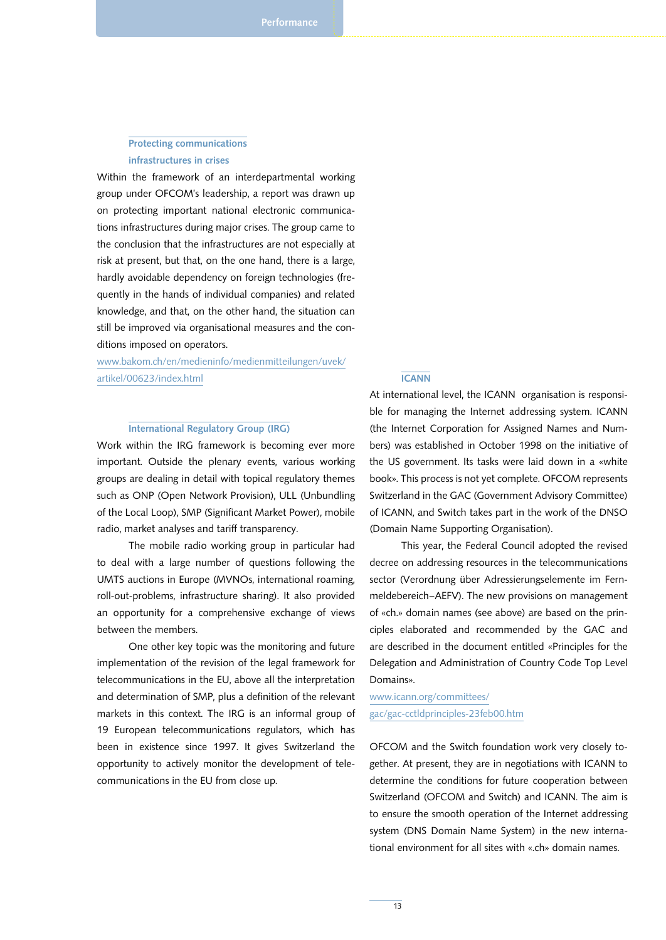## Protecting communications infrastructures in crises

Within the framework of an interdepartmental working group under OFCOM's leadership, a report was drawn up on protecting important national electronic communications infrastructures during major crises. The group came to the conclusion that the infrastructures are not especially at risk at present, but that, on the one hand, there is a large, hardly avoidable dependency on foreign technologies (frequently in the hands of individual companies) and related knowledge, and that, on the other hand, the situation can still be improved via organisational measures and the conditions imposed on operators.

www.bakom.ch/en/medieninfo/medienmitteilungen/uvek/ artikel/00623/index.html

#### International Regulatory Group (IRG)

Work within the IRG framework is becoming ever more important. Outside the plenary events, various working groups are dealing in detail with topical regulatory themes such as ONP (Open Network Provision), ULL (Unbundling of the Local Loop), SMP (Significant Market Power), mobile radio, market analyses and tariff transparency.

The mobile radio working group in particular had to deal with a large number of questions following the UMTS auctions in Europe (MVNOs, international roaming, roll-out-problems, infrastructure sharing). It also provided an opportunity for a comprehensive exchange of views between the members.

One other key topic was the monitoring and future implementation of the revision of the legal framework for telecommunications in the EU, above all the interpretation and determination of SMP, plus a definition of the relevant markets in this context. The IRG is an informal group of 19 European telecommunications regulators, which has been in existence since 1997. It gives Switzerland the opportunity to actively monitor the development of telecommunications in the EU from close up.

#### **ICANN**

At international level, the ICANN organisation is responsible for managing the Internet addressing system. ICANN (the Internet Corporation for Assigned Names and Numbers) was established in October 1998 on the initiative of the US government. Its tasks were laid down in a «white book». This process is not yet complete. OFCOM represents Switzerland in the GAC (Government Advisory Committee) of ICANN, and Switch takes part in the work of the DNSO (Domain Name Supporting Organisation).

This year, the Federal Council adopted the revised decree on addressing resources in the telecommunications sector (Verordnung über Adressierungselemente im Fernmeldebereich–AEFV). The new provisions on management of «ch.» domain names (see above) are based on the principles elaborated and recommended by the GAC and are described in the document entitled «Principles for the Delegation and Administration of Country Code Top Level Domains».

www.icann.org/committees/ gac/gac-cctldprinciples-23feb00.htm

OFCOM and the Switch foundation work very closely together. At present, they are in negotiations with ICANN to determine the conditions for future cooperation between Switzerland (OFCOM and Switch) and ICANN. The aim is to ensure the smooth operation of the Internet addressing system (DNS Domain Name System) in the new international environment for all sites with «.ch» domain names.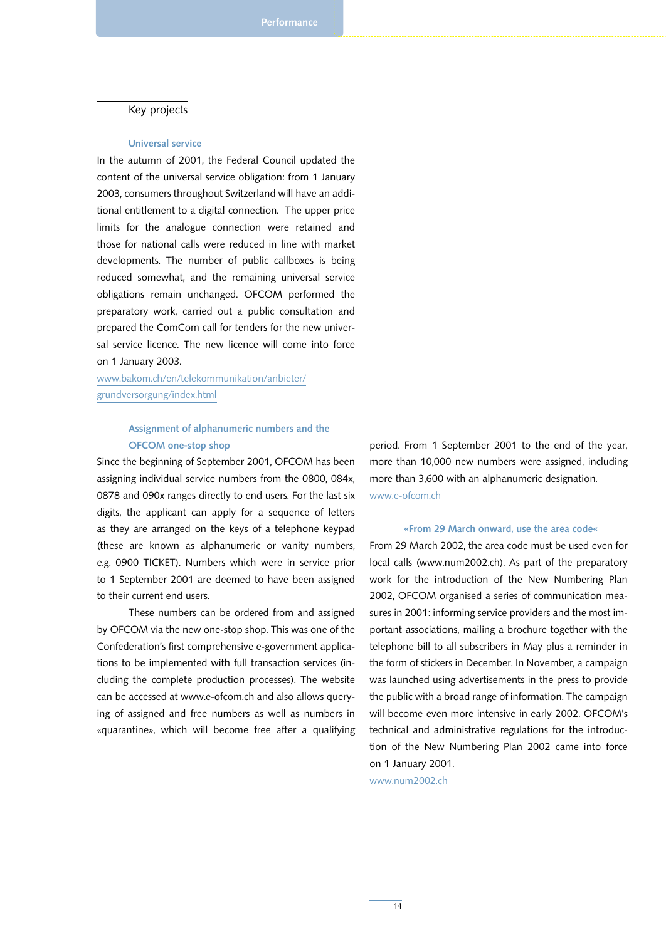#### Key projects

#### Universal service

In the autumn of 2001, the Federal Council updated the content of the universal service obligation: from 1 January 2003, consumers throughout Switzerland will have an additional entitlement to a digital connection. The upper price limits for the analogue connection were retained and those for national calls were reduced in line with market developments. The number of public callboxes is being reduced somewhat, and the remaining universal service obligations remain unchanged. OFCOM performed the preparatory work, carried out a public consultation and prepared the ComCom call for tenders for the new universal service licence. The new licence will come into force on 1 January 2003.

www.bakom.ch/en/telekommunikation/anbieter/ grundversorgung/index.html

## Assignment of alphanumeric numbers and the OFCOM one-stop shop

Since the beginning of September 2001, OFCOM has been assigning individual service numbers from the 0800, 084x, 0878 and 090x ranges directly to end users. For the last six digits, the applicant can apply for a sequence of letters as they are arranged on the keys of a telephone keypad (these are known as alphanumeric or vanity numbers, e.g. 0900 TICKET). Numbers which were in service prior to 1 September 2001 are deemed to have been assigned to their current end users.

These numbers can be ordered from and assigned by OFCOM via the new one-stop shop. This was one of the Confederation's first comprehensive e-government applications to be implemented with full transaction services (including the complete production processes). The website can be accessed at www.e-ofcom.ch and also allows querying of assigned and free numbers as well as numbers in «quarantine», which will become free after a qualifying period. From 1 September 2001 to the end of the year, more than 10,000 new numbers were assigned, including more than 3,600 with an alphanumeric designation. www.e-ofcom.ch

#### «From 29 March onward, use the area code«

From 29 March 2002, the area code must be used even for local calls (www.num2002.ch). As part of the preparatory work for the introduction of the New Numbering Plan 2002, OFCOM organised a series of communication measures in 2001: informing service providers and the most important associations, mailing a brochure together with the telephone bill to all subscribers in May plus a reminder in the form of stickers in December. In November, a campaign was launched using advertisements in the press to provide the public with a broad range of information. The campaign will become even more intensive in early 2002. OFCOM's technical and administrative regulations for the introduction of the New Numbering Plan 2002 came into force on 1 January 2001.

www.num2002.ch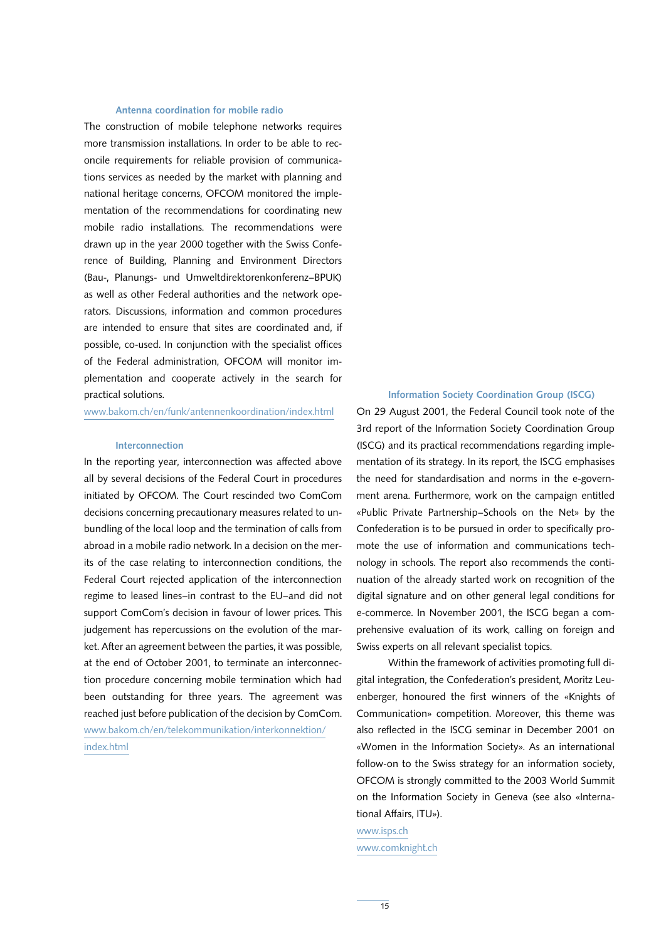#### Antenna coordination for mobile radio

The construction of mobile telephone networks requires more transmission installations. In order to be able to reconcile requirements for reliable provision of communications services as needed by the market with planning and national heritage concerns, OFCOM monitored the implementation of the recommendations for coordinating new mobile radio installations. The recommendations were drawn up in the year 2000 together with the Swiss Conference of Building, Planning and Environment Directors (Bau-, Planungs- und Umweltdirektorenkonferenz–BPUK) as well as other Federal authorities and the network operators. Discussions, information and common procedures are intended to ensure that sites are coordinated and, if possible, co-used. In conjunction with the specialist offices of the Federal administration, OFCOM will monitor implementation and cooperate actively in the search for practical solutions.

#### www.bakom.ch/en/funk/antennenkoordination/index.html

#### Interconnection

In the reporting year, interconnection was affected above all by several decisions of the Federal Court in procedures initiated by OFCOM. The Court rescinded two ComCom decisions concerning precautionary measures related to unbundling of the local loop and the termination of calls from abroad in a mobile radio network. In a decision on the merits of the case relating to interconnection conditions, the Federal Court rejected application of the interconnection regime to leased lines–in contrast to the EU–and did not support ComCom's decision in favour of lower prices. This judgement has repercussions on the evolution of the market. After an agreement between the parties, it was possible, at the end of October 2001, to terminate an interconnection procedure concerning mobile termination which had been outstanding for three years. The agreement was reached just before publication of the decision by ComCom. www.bakom.ch/en/telekommunikation/interkonnektion/ index.html

#### Information Society Coordination Group (ISCG)

On 29 August 2001, the Federal Council took note of the 3rd report of the Information Society Coordination Group (ISCG) and its practical recommendations regarding implementation of its strategy. In its report, the ISCG emphasises the need for standardisation and norms in the e-government arena. Furthermore, work on the campaign entitled «Public Private Partnership–Schools on the Net» by the Confederation is to be pursued in order to specifically promote the use of information and communications technology in schools. The report also recommends the continuation of the already started work on recognition of the digital signature and on other general legal conditions for e-commerce. In November 2001, the ISCG began a comprehensive evaluation of its work, calling on foreign and Swiss experts on all relevant specialist topics.

Within the framework of activities promoting full digital integration, the Confederation's president, Moritz Leuenberger, honoured the first winners of the «Knights of Communication» competition. Moreover, this theme was also reflected in the ISCG seminar in December 2001 on «Women in the Information Society». As an international follow-on to the Swiss strategy for an information society, OFCOM is strongly committed to the 2003 World Summit on the Information Society in Geneva (see also «International Affairs, ITU»).

www.isps.ch www.comknight.ch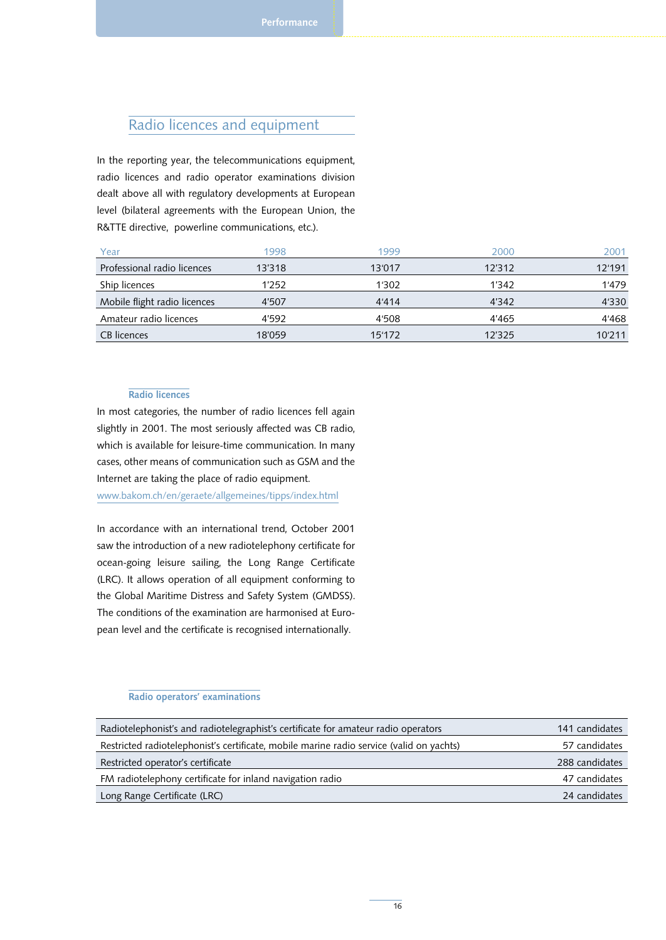## Radio licences and equipment

In the reporting year, the telecommunications equipment, radio licences and radio operator examinations division dealt above all with regulatory developments at European level (bilateral agreements with the European Union, the R&TTE directive, powerline communications, etc.).

| Year                         | 1998   | 1999   | 2000   | 2001   |
|------------------------------|--------|--------|--------|--------|
| Professional radio licences  | 13'318 | 13'017 | 12'312 | 12'191 |
| Ship licences                | 1'252  | 1'302  | 1'342  | 1'479  |
| Mobile flight radio licences | 4'507  | 4'414  | 4'342  | 4'330  |
| Amateur radio licences       | 4'592  | 4'508  | 4'465  | 4'468  |
| CB licences                  | 18'059 | 15'172 | 12'325 | 10'211 |

#### Radio licences

In most categories, the number of radio licences fell again slightly in 2001. The most seriously affected was CB radio, which is available for leisure-time communication. In many cases, other means of communication such as GSM and the Internet are taking the place of radio equipment.

www.bakom.ch/en/geraete/allgemeines/tipps/index.html

In accordance with an international trend, October 2001 saw the introduction of a new radiotelephony certificate for ocean-going leisure sailing, the Long Range Certificate (LRC). It allows operation of all equipment conforming to the Global Maritime Distress and Safety System (GMDSS). The conditions of the examination are harmonised at European level and the certificate is recognised internationally.

#### Radio operators' examinations

| Radiotelephonist's and radiotelegraphist's certificate for amateur radio operators       | 141 candidates |
|------------------------------------------------------------------------------------------|----------------|
| Restricted radiotelephonist's certificate, mobile marine radio service (valid on yachts) | 57 candidates  |
| Restricted operator's certificate                                                        | 288 candidates |
| FM radiotelephony certificate for inland navigation radio                                | 47 candidates  |
| Long Range Certificate (LRC)                                                             | 24 candidates  |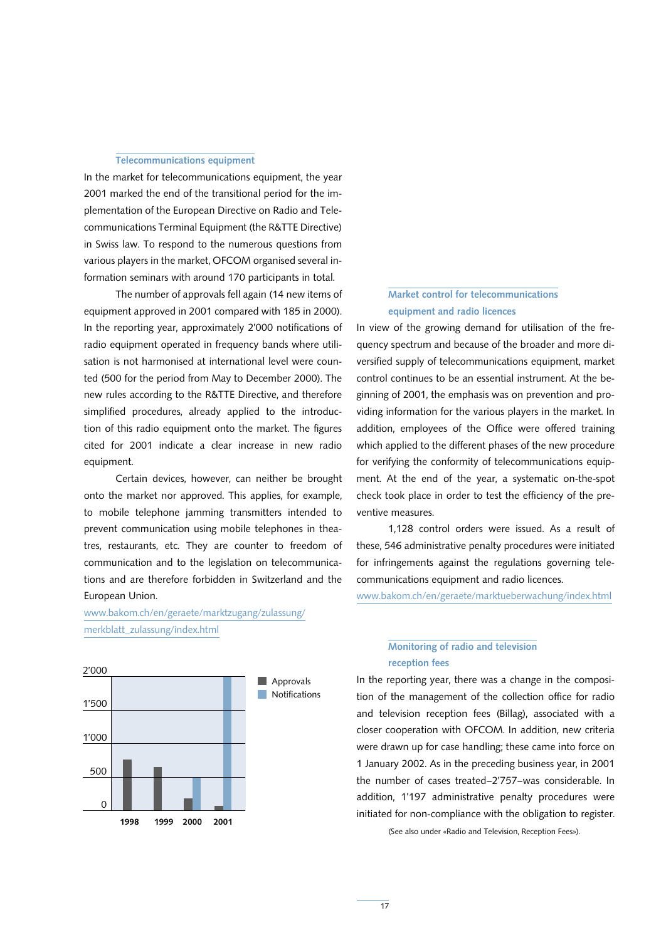#### Telecommunications equipment

In the market for telecommunications equipment, the year 2001 marked the end of the transitional period for the implementation of the European Directive on Radio and Telecommunications Terminal Equipment (the R&TTE Directive) in Swiss law. To respond to the numerous questions from various players in the market, OFCOM organised several information seminars with around 170 participants in total.

The number of approvals fell again (14 new items of equipment approved in 2001 compared with 185 in 2000). In the reporting year, approximately 2'000 notifications of radio equipment operated in frequency bands where utilisation is not harmonised at international level were counted (500 for the period from May to December 2000). The new rules according to the R&TTE Directive, and therefore simplified procedures, already applied to the introduction of this radio equipment onto the market. The figures cited for 2001 indicate a clear increase in new radio equipment.

Certain devices, however, can neither be brought onto the market nor approved. This applies, for example, to mobile telephone jamming transmitters intended to prevent communication using mobile telephones in theatres, restaurants, etc. They are counter to freedom of communication and to the legislation on telecommunications and are therefore forbidden in Switzerland and the European Union.

www.bakom.ch/en/geraete/marktzugang/zulassung/ merkblatt\_zulassung/index.html



## Market control for telecommunications equipment and radio licences

In view of the growing demand for utilisation of the frequency spectrum and because of the broader and more diversified supply of telecommunications equipment, market control continues to be an essential instrument. At the beginning of 2001, the emphasis was on prevention and providing information for the various players in the market. In addition, employees of the Office were offered training which applied to the different phases of the new procedure for verifying the conformity of telecommunications equipment. At the end of the year, a systematic on-the-spot check took place in order to test the efficiency of the preventive measures.

1,128 control orders were issued. As a result of these, 546 administrative penalty procedures were initiated for infringements against the regulations governing telecommunications equipment and radio licences.

www.bakom.ch/en/geraete/marktueberwachung/index.html

## Monitoring of radio and television reception fees

In the reporting year, there was a change in the composition of the management of the collection office for radio and television reception fees (Billag), associated with a closer cooperation with OFCOM. In addition, new criteria were drawn up for case handling; these came into force on 1 January 2002. As in the preceding business year, in 2001 the number of cases treated–2'757–was considerable. In addition, 1'197 administrative penalty procedures were initiated for non-compliance with the obligation to register.

(See also under «Radio and Television, Reception Fees»).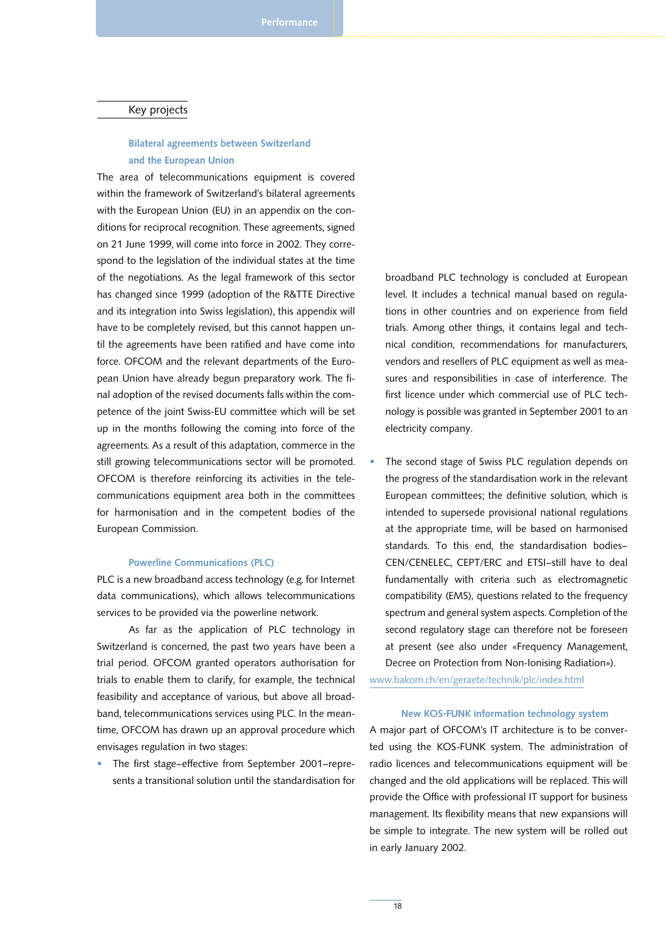#### Key projects

## Bilateral agreements between Switzerland and the European Union

The area of telecommunications equipment is covered within the framework of Switzerland's bilateral agreements with the European Union (EU) in an appendix on the conditions for reciprocal recognition. These agreements, signed on 21 June 1999, will come into force in 2002. They correspond to the legislation of the individual states at the time of the negotiations. As the legal framework of this sector has changed since 1999 (adoption of the R&TTE Directive and its integration into Swiss legislation), this appendix will have to be completely revised, but this cannot happen until the agreements have been ratified and have come into force. OFCOM and the relevant departments of the European Union have already begun preparatory work. The final adoption of the revised documents falls within the competence of the joint Swiss-EU committee which will be set up in the months following the coming into force of the agreements. As a result of this adaptation, commerce in the still growing telecommunications sector will be promoted. OFCOM is therefore reinforcing its activities in the telecommunications equipment area both in the committees for harmonisation and in the competent bodies of the European Commission.

#### Powerline Communications (PLC)

PLC is a new broadband access technology (e.g. for Internet data communications), which allows telecommunications services to be provided via the powerline network.

As far as the application of PLC technology in Switzerland is concerned, the past two years have been a trial period. OFCOM granted operators authorisation for trials to enable them to clarify, for example, the technical feasibility and acceptance of various, but above all broadband, telecommunications services using PLC. In the meantime, OFCOM has drawn up an approval procedure which envisages regulation in two stages:

The first stage–effective from September 2001–represents a transitional solution until the standardisation for broadband PLC technology is concluded at European level. It includes a technical manual based on regulations in other countries and on experience from field trials. Among other things, it contains legal and technical condition, recommendations for manufacturers, vendors and resellers of PLC equipment as well as measures and responsibilities in case of interference. The first licence under which commercial use of PLC technology is possible was granted in September 2001 to an electricity company.

The second stage of Swiss PLC regulation depends on the progress of the standardisation work in the relevant European committees; the definitive solution, which is intended to supersede provisional national regulations at the appropriate time, will be based on harmonised standards. To this end, the standardisation bodies– CEN/CENELEC, CEPT/ERC and ETSI–still have to deal fundamentally with criteria such as electromagnetic compatibility (EMS), questions related to the frequency spectrum and general system aspects. Completion of the second regulatory stage can therefore not be foreseen at present (see also under «Frequency Management, Decree on Protection from Non-Ionising Radiation»).

www.bakom.ch/en/geraete/technik/plc/index.html

#### New KOS-FUNK information technology system

A major part of OFCOM's IT architecture is to be converted using the KOS-FUNK system. The administration of radio licences and telecommunications equipment will be changed and the old applications will be replaced. This will provide the Office with professional IT support for business management. Its flexibility means that new expansions will be simple to integrate. The new system will be rolled out in early January 2002.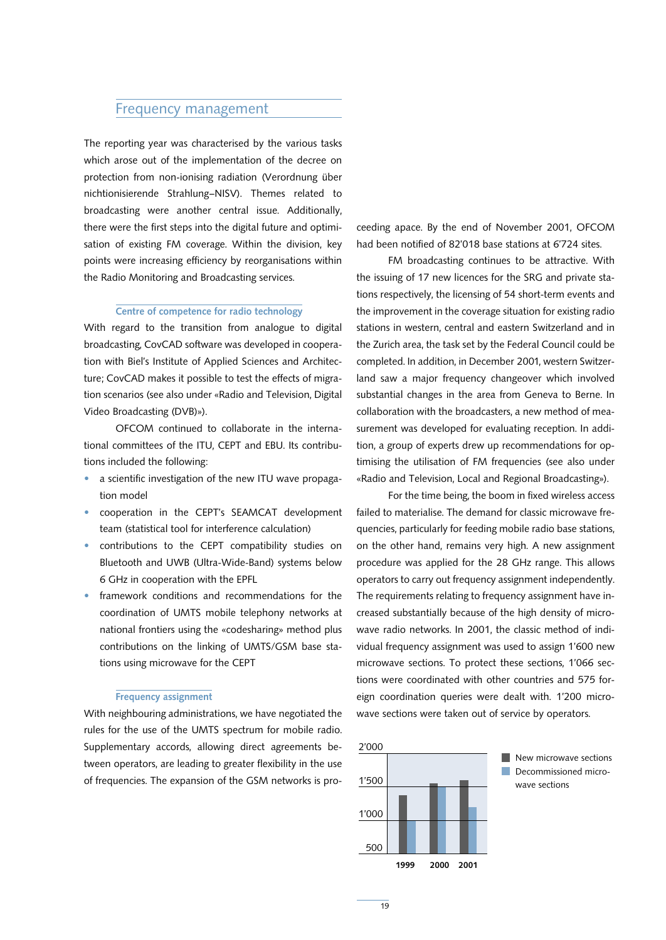## Frequency management

The reporting year was characterised by the various tasks which arose out of the implementation of the decree on protection from non-ionising radiation (Verordnung über nichtionisierende Strahlung–NISV). Themes related to broadcasting were another central issue. Additionally, there were the first steps into the digital future and optimisation of existing FM coverage. Within the division, key points were increasing efficiency by reorganisations within the Radio Monitoring and Broadcasting services.

#### Centre of competence for radio technology

With regard to the transition from analogue to digital broadcasting, CovCAD software was developed in cooperation with Biel's Institute of Applied Sciences and Architecture; CovCAD makes it possible to test the effects of migration scenarios (see also under «Radio and Television, Digital Video Broadcasting (DVB)»).

OFCOM continued to collaborate in the international committees of the ITU, CEPT and EBU. Its contributions included the following:

- a scientific investigation of the new ITU wave propagation model
- cooperation in the CEPT's SEAMCAT development team (statistical tool for interference calculation)
- contributions to the CEPT compatibility studies on Bluetooth and UWB (Ultra-Wide-Band) systems below 6 GHz in cooperation with the EPFL
- framework conditions and recommendations for the coordination of UMTS mobile telephony networks at national frontiers using the «codesharing» method plus contributions on the linking of UMTS/GSM base stations using microwave for the CEPT

#### Frequency assignment

With neighbouring administrations, we have negotiated the rules for the use of the UMTS spectrum for mobile radio. Supplementary accords, allowing direct agreements between operators, are leading to greater flexibility in the use of frequencies. The expansion of the GSM networks is proceeding apace. By the end of November 2001, OFCOM had been notified of 82'018 base stations at 6'724 sites.

FM broadcasting continues to be attractive. With the issuing of 17 new licences for the SRG and private stations respectively, the licensing of 54 short-term events and the improvement in the coverage situation for existing radio stations in western, central and eastern Switzerland and in the Zurich area, the task set by the Federal Council could be completed. In addition, in December 2001, western Switzerland saw a major frequency changeover which involved substantial changes in the area from Geneva to Berne. In collaboration with the broadcasters, a new method of measurement was developed for evaluating reception. In addition, a group of experts drew up recommendations for optimising the utilisation of FM frequencies (see also under «Radio and Television, Local and Regional Broadcasting»).

For the time being, the boom in fixed wireless access failed to materialise. The demand for classic microwave frequencies, particularly for feeding mobile radio base stations, on the other hand, remains very high. A new assignment procedure was applied for the 28 GHz range. This allows operators to carry out frequency assignment independently. The requirements relating to frequency assignment have increased substantially because of the high density of microwave radio networks. In 2001, the classic method of individual frequency assignment was used to assign 1'600 new microwave sections. To protect these sections, 1'066 sections were coordinated with other countries and 575 foreign coordination queries were dealt with. 1'200 microwave sections were taken out of service by operators.

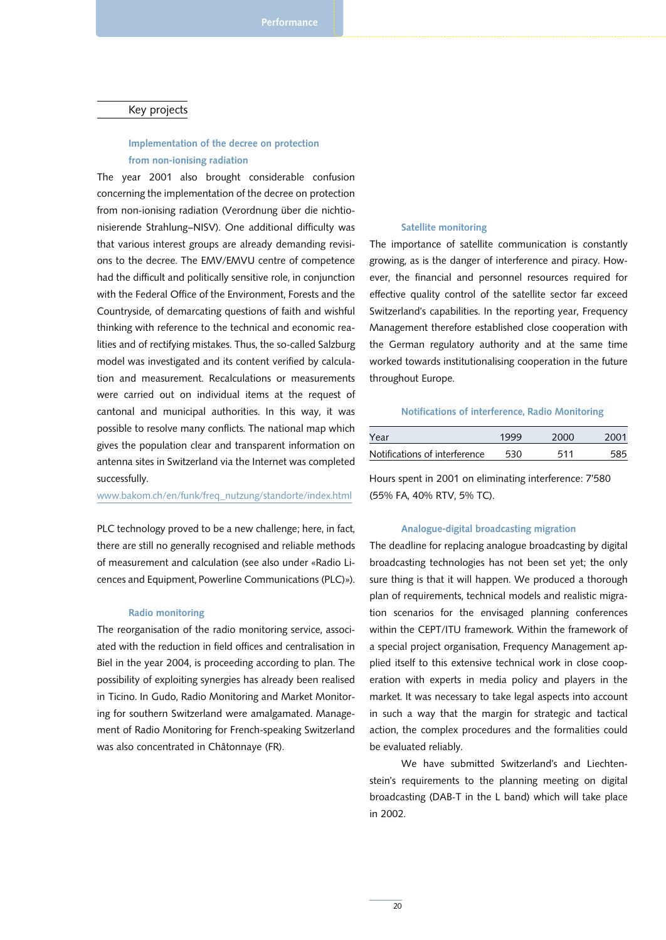#### Key projects

## Implementation of the decree on protection from non-ionising radiation

The year 2001 also brought considerable confusion concerning the implementation of the decree on protection from non-ionising radiation (Verordnung über die nichtionisierende Strahlung–NISV). One additional difficulty was that various interest groups are already demanding revisions to the decree. The EMV/EMVU centre of competence had the difficult and politically sensitive role, in conjunction with the Federal Office of the Environment, Forests and the Countryside, of demarcating questions of faith and wishful thinking with reference to the technical and economic realities and of rectifying mistakes. Thus, the so-called Salzburg model was investigated and its content verified by calculation and measurement. Recalculations or measurements were carried out on individual items at the request of cantonal and municipal authorities. In this way, it was possible to resolve many conflicts. The national map which gives the population clear and transparent information on antenna sites in Switzerland via the Internet was completed successfully.

www.bakom.ch/en/funk/freq\_nutzung/standorte/index.html

PLC technology proved to be a new challenge; here, in fact, there are still no generally recognised and reliable methods of measurement and calculation (see also under «Radio Licences and Equipment, Powerline Communications (PLC)»).

#### Radio monitoring

The reorganisation of the radio monitoring service, associated with the reduction in field offices and centralisation in Biel in the year 2004, is proceeding according to plan. The possibility of exploiting synergies has already been realised in Ticino. In Gudo, Radio Monitoring and Market Monitoring for southern Switzerland were amalgamated. Management of Radio Monitoring for French-speaking Switzerland was also concentrated in Châtonnaye (FR).

#### Satellite monitoring

The importance of satellite communication is constantly growing, as is the danger of interference and piracy. However, the financial and personnel resources required for effective quality control of the satellite sector far exceed Switzerland's capabilities. In the reporting year, Frequency Management therefore established close cooperation with the German regulatory authority and at the same time worked towards institutionalising cooperation in the future throughout Europe.

#### Notifications of interference, Radio Monitoring

| Year                          | 1999 | 2000 | 2001 |
|-------------------------------|------|------|------|
| Notifications of interference | 530  | 511  |      |

Hours spent in 2001 on eliminating interference: 7'580 (55% FA, 40% RTV, 5% TC).

#### Analogue-digital broadcasting migration

The deadline for replacing analogue broadcasting by digital broadcasting technologies has not been set yet; the only sure thing is that it will happen. We produced a thorough plan of requirements, technical models and realistic migration scenarios for the envisaged planning conferences within the CEPT/ITU framework. Within the framework of a special project organisation, Frequency Management applied itself to this extensive technical work in close cooperation with experts in media policy and players in the market. It was necessary to take legal aspects into account in such a way that the margin for strategic and tactical action, the complex procedures and the formalities could be evaluated reliably.

We have submitted Switzerland's and Liechtenstein's requirements to the planning meeting on digital broadcasting (DAB-T in the L band) which will take place in 2002.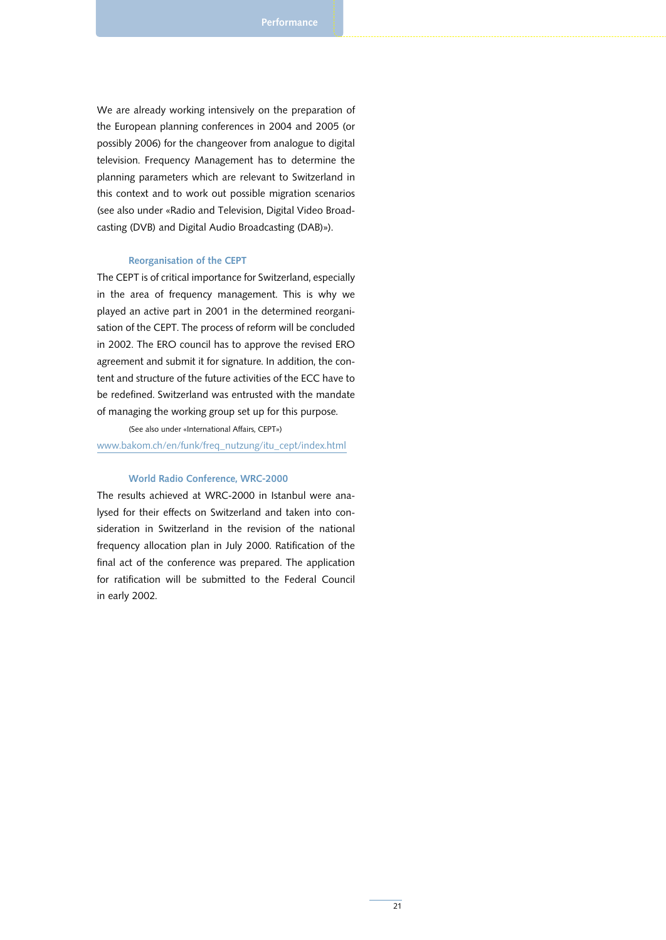We are already working intensively on the preparation of the European planning conferences in 2004 and 2005 (or possibly 2006) for the changeover from analogue to digital television. Frequency Management has to determine the planning parameters which are relevant to Switzerland in this context and to work out possible migration scenarios (see also under «Radio and Television, Digital Video Broadcasting (DVB) and Digital Audio Broadcasting (DAB)»).

#### Reorganisation of the CEPT

The CEPT is of critical importance for Switzerland, especially in the area of frequency management. This is why we played an active part in 2001 in the determined reorganisation of the CEPT. The process of reform will be concluded in 2002. The ERO council has to approve the revised ERO agreement and submit it for signature. In addition, the content and structure of the future activities of the ECC have to be redefined. Switzerland was entrusted with the mandate of managing the working group set up for this purpose.

#### (See also under «International Affairs, CEPT»)

www.bakom.ch/en/funk/freq\_nutzung/itu\_cept/index.html

#### World Radio Conference, WRC-2000

The results achieved at WRC-2000 in Istanbul were analysed for their effects on Switzerland and taken into consideration in Switzerland in the revision of the national frequency allocation plan in July 2000. Ratification of the final act of the conference was prepared. The application for ratification will be submitted to the Federal Council in early 2002.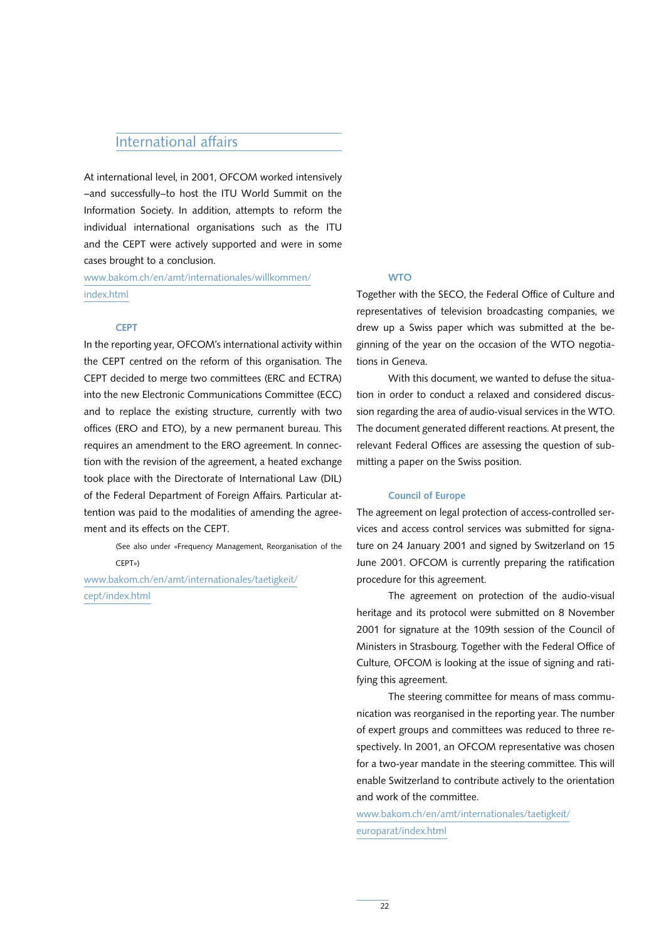## International affairs

At international level, in 2001, OFCOM worked intensively –and successfully–to host the ITU World Summit on the Information Society. In addition, attempts to reform the individual international organisations such as the ITU and the CEPT were actively supported and were in some cases brought to a conclusion.

www.bakom.ch/en/amt/internationales/willkommen/ index.html

#### **WTO**

#### **CEPT**

In the reporting year, OFCOM's international activity within the CEPT centred on the reform of this organisation. The CEPT decided to merge two committees (ERC and ECTRA) into the new Electronic Communications Committee (ECC) and to replace the existing structure, currently with two offices (ERO and ETO), by a new permanent bureau. This requires an amendment to the ERO agreement. In connection with the revision of the agreement, a heated exchange took place with the Directorate of International Law (DIL) of the Federal Department of Foreign Affairs. Particular attention was paid to the modalities of amending the agreement and its effects on the CEPT.

> (See also under «Frequency Management, Reorganisation of the CEPT»)

www.bakom.ch/en/amt/internationales/taetigkeit/ cept/index.html

Together with the SECO, the Federal Office of Culture and representatives of television broadcasting companies, we drew up a Swiss paper which was submitted at the beginning of the year on the occasion of the WTO negotiations in Geneva.

With this document, we wanted to defuse the situation in order to conduct a relaxed and considered discussion regarding the area of audio-visual services in the WTO. The document generated different reactions. At present, the relevant Federal Offices are assessing the question of submitting a paper on the Swiss position.

#### Council of Europe

The agreement on legal protection of access-controlled services and access control services was submitted for signature on 24 January 2001 and signed by Switzerland on 15 June 2001. OFCOM is currently preparing the ratification procedure for this agreement.

The agreement on protection of the audio-visual heritage and its protocol were submitted on 8 November 2001 for signature at the 109th session of the Council of Ministers in Strasbourg. Together with the Federal Office of Culture, OFCOM is looking at the issue of signing and ratifying this agreement.

The steering committee for means of mass communication was reorganised in the reporting year. The number of expert groups and committees was reduced to three respectively. In 2001, an OFCOM representative was chosen for a two-year mandate in the steering committee. This will enable Switzerland to contribute actively to the orientation and work of the committee.

www.bakom.ch/en/amt/internationales/taetigkeit/ europarat/index.html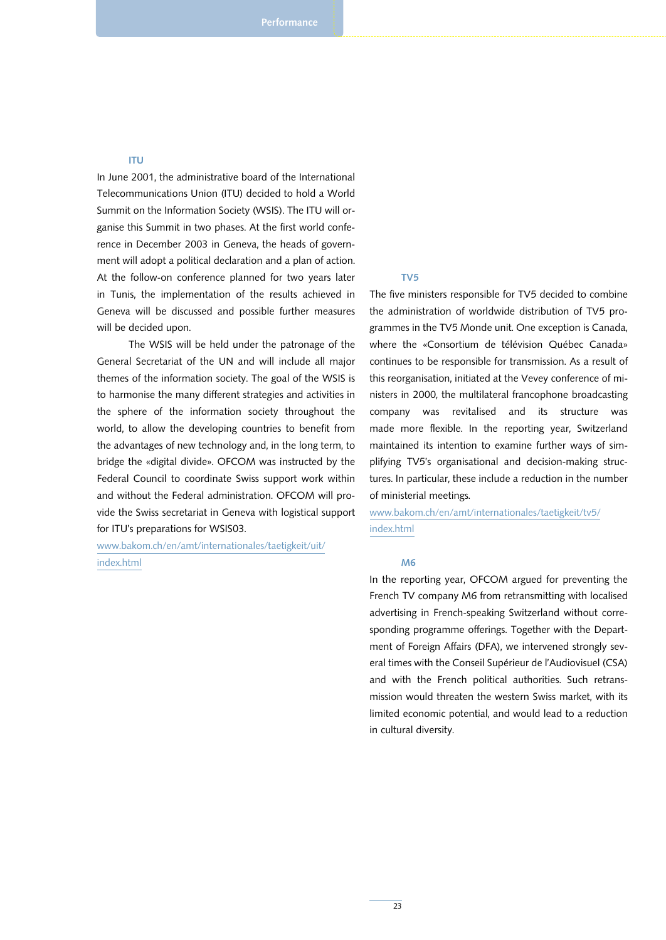#### ITU

In June 2001, the administrative board of the International Telecommunications Union (ITU) decided to hold a World Summit on the Information Society (WSIS). The ITU will organise this Summit in two phases. At the first world conference in December 2003 in Geneva, the heads of government will adopt a political declaration and a plan of action. At the follow-on conference planned for two years later in Tunis, the implementation of the results achieved in Geneva will be discussed and possible further measures will be decided upon.

The WSIS will be held under the patronage of the General Secretariat of the UN and will include all major themes of the information society. The goal of the WSIS is to harmonise the many different strategies and activities in the sphere of the information society throughout the world, to allow the developing countries to benefit from the advantages of new technology and, in the long term, to bridge the «digital divide». OFCOM was instructed by the Federal Council to coordinate Swiss support work within and without the Federal administration. OFCOM will provide the Swiss secretariat in Geneva with logistical support for ITU's preparations for WSIS03.

www.bakom.ch/en/amt/internationales/taetigkeit/uit/ index.html

#### TV5

The five ministers responsible for TV5 decided to combine the administration of worldwide distribution of TV5 programmes in the TV5 Monde unit. One exception is Canada, where the «Consortium de télévision Québec Canada» continues to be responsible for transmission. As a result of this reorganisation, initiated at the Vevey conference of ministers in 2000, the multilateral francophone broadcasting company was revitalised and its structure was made more flexible. In the reporting year, Switzerland maintained its intention to examine further ways of simplifying TV5's organisational and decision-making structures. In particular, these include a reduction in the number of ministerial meetings.

www.bakom.ch/en/amt/internationales/taetigkeit/tv5/ index.html

#### M6

In the reporting year, OFCOM argued for preventing the French TV company M6 from retransmitting with localised advertising in French-speaking Switzerland without corresponding programme offerings. Together with the Department of Foreign Affairs (DFA), we intervened strongly several times with the Conseil Supérieur de l'Audiovisuel (CSA) and with the French political authorities. Such retransmission would threaten the western Swiss market, with its limited economic potential, and would lead to a reduction in cultural diversity.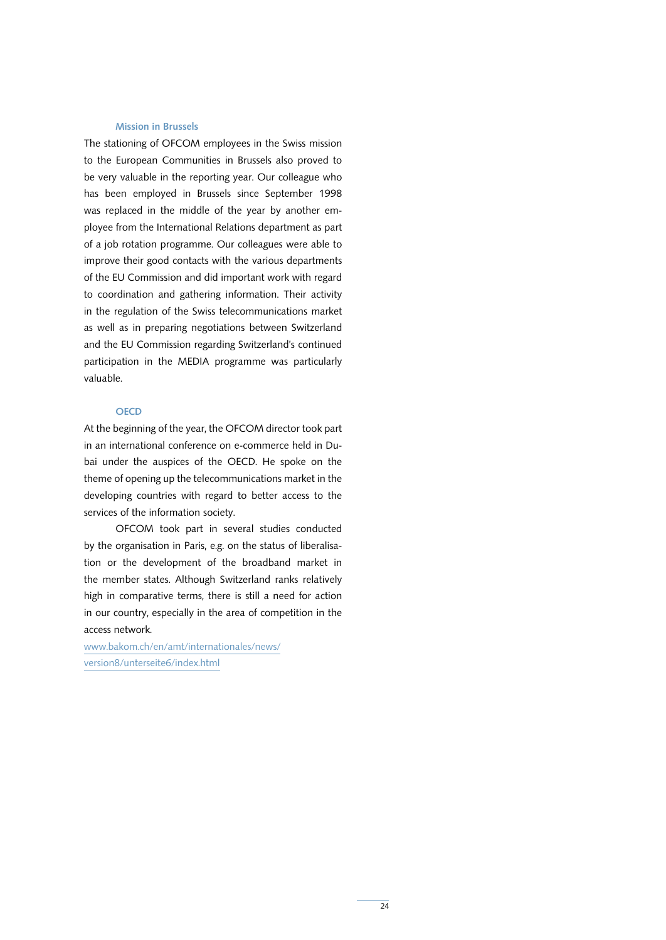#### Mission in Brussels

The stationing of OFCOM employees in the Swiss mission to the European Communities in Brussels also proved to be very valuable in the reporting year. Our colleague who has been employed in Brussels since September 1998 was replaced in the middle of the year by another employee from the International Relations department as part of a job rotation programme. Our colleagues were able to improve their good contacts with the various departments of the EU Commission and did important work with regard to coordination and gathering information. Their activity in the regulation of the Swiss telecommunications market as well as in preparing negotiations between Switzerland and the EU Commission regarding Switzerland's continued participation in the MEDIA programme was particularly valuable.

#### **OECD**

At the beginning of the year, the OFCOM director took part in an international conference on e-commerce held in Dubai under the auspices of the OECD. He spoke on the theme of opening up the telecommunications market in the developing countries with regard to better access to the services of the information society.

OFCOM took part in several studies conducted by the organisation in Paris, e.g. on the status of liberalisation or the development of the broadband market in the member states. Although Switzerland ranks relatively high in comparative terms, there is still a need for action in our country, especially in the area of competition in the access network.

www.bakom.ch/en/amt/internationales/news/ version8/unterseite6/index.html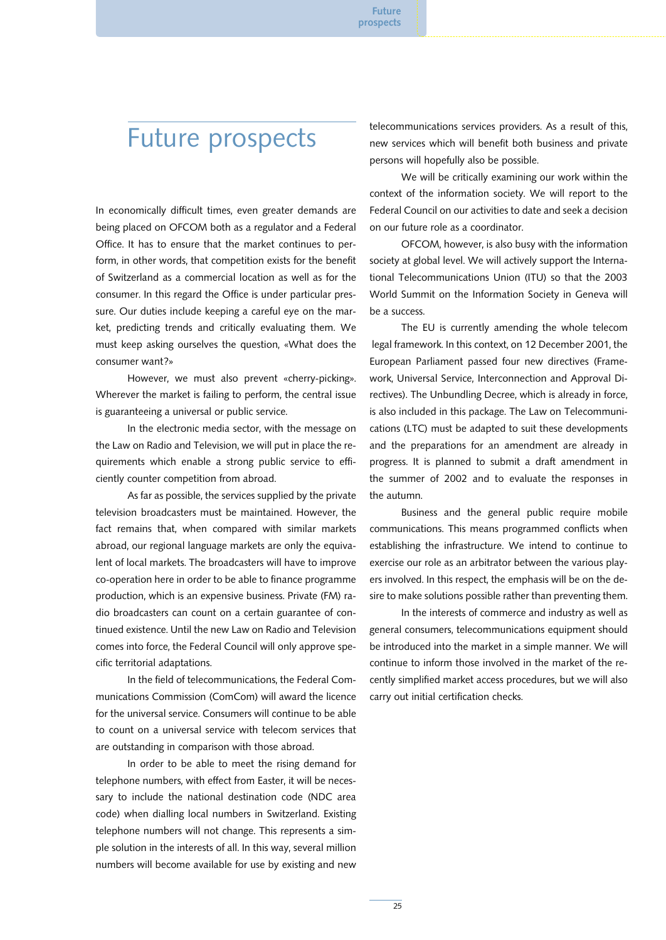## Future prospects

In economically difficult times, even greater demands are being placed on OFCOM both as a regulator and a Federal Office. It has to ensure that the market continues to perform, in other words, that competition exists for the benefit of Switzerland as a commercial location as well as for the consumer. In this regard the Office is under particular pressure. Our duties include keeping a careful eye on the market, predicting trends and critically evaluating them. We must keep asking ourselves the question, «What does the consumer want?»

However, we must also prevent «cherry-picking». Wherever the market is failing to perform, the central issue is guaranteeing a universal or public service.

In the electronic media sector, with the message on the Law on Radio and Television, we will put in place the requirements which enable a strong public service to efficiently counter competition from abroad.

As far as possible, the services supplied by the private television broadcasters must be maintained. However, the fact remains that, when compared with similar markets abroad, our regional language markets are only the equivalent of local markets. The broadcasters will have to improve co-operation here in order to be able to finance programme production, which is an expensive business. Private (FM) radio broadcasters can count on a certain guarantee of continued existence. Until the new Law on Radio and Television comes into force, the Federal Council will only approve specific territorial adaptations.

In the field of telecommunications, the Federal Communications Commission (ComCom) will award the licence for the universal service. Consumers will continue to be able to count on a universal service with telecom services that are outstanding in comparison with those abroad.

In order to be able to meet the rising demand for telephone numbers, with effect from Easter, it will be necessary to include the national destination code (NDC area code) when dialling local numbers in Switzerland. Existing telephone numbers will not change. This represents a simple solution in the interests of all. In this way, several million numbers will become available for use by existing and new

telecommunications services providers. As a result of this, new services which will benefit both business and private persons will hopefully also be possible.

We will be critically examining our work within the context of the information society. We will report to the Federal Council on our activities to date and seek a decision on our future role as a coordinator.

OFCOM, however, is also busy with the information society at global level. We will actively support the International Telecommunications Union (ITU) so that the 2003 World Summit on the Information Society in Geneva will be a success.

The EU is currently amending the whole telecom legal framework. In this context, on 12 December 2001, the European Parliament passed four new directives (Framework, Universal Service, Interconnection and Approval Directives). The Unbundling Decree, which is already in force, is also included in this package. The Law on Telecommunications (LTC) must be adapted to suit these developments and the preparations for an amendment are already in progress. It is planned to submit a draft amendment in the summer of 2002 and to evaluate the responses in the autumn.

Business and the general public require mobile communications. This means programmed conflicts when establishing the infrastructure. We intend to continue to exercise our role as an arbitrator between the various players involved. In this respect, the emphasis will be on the desire to make solutions possible rather than preventing them.

In the interests of commerce and industry as well as general consumers, telecommunications equipment should be introduced into the market in a simple manner. We will continue to inform those involved in the market of the recently simplified market access procedures, but we will also carry out initial certification checks.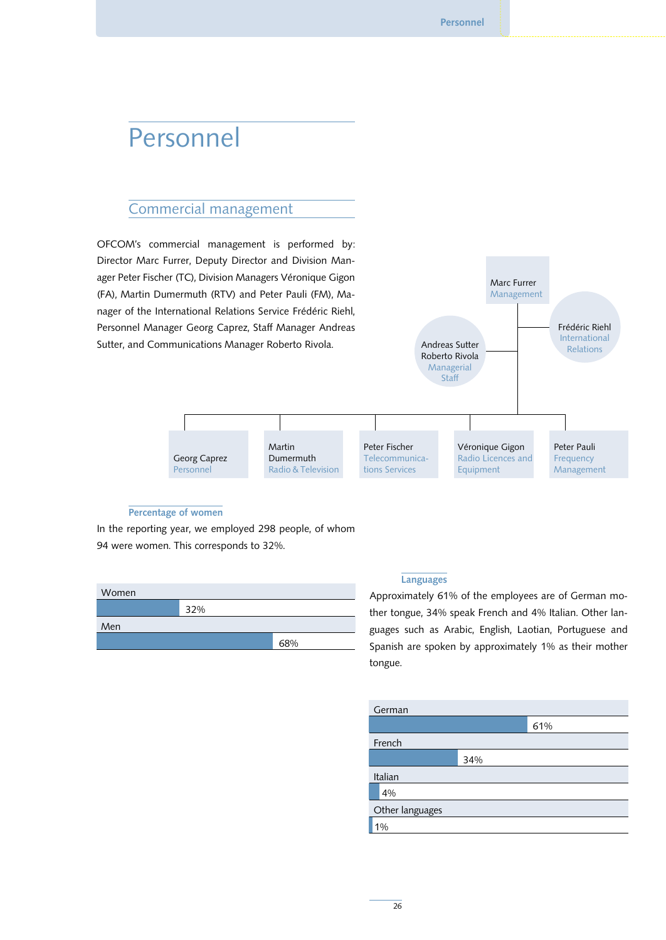## Personnel

## Commercial management

OFCOM's commercial management is performed by: Director Marc Furrer, Deputy Director and Division Manager Peter Fischer (TC), Division Managers Véronique Gigon (FA), Martin Dumermuth (RTV) and Peter Pauli (FM), Manager of the International Relations Service Frédéric Riehl, Personnel Manager Georg Caprez, Staff Manager Andreas Sutter, and Communications Manager Roberto Rivola.



#### Percentage of women

In the reporting year, we employed 298 people, of whom 94 were women. This corresponds to 32%.

| Women |     |     |
|-------|-----|-----|
|       | 32% |     |
| Men   |     |     |
|       |     | 68% |

#### Languages

Approximately 61% of the employees are of German mother tongue, 34% speak French and 4% Italian. Other languages such as Arabic, English, Laotian, Portuguese and Spanish are spoken by approximately 1% as their mother tongue.

| German          |     |     |
|-----------------|-----|-----|
|                 |     | 61% |
| French          |     |     |
|                 | 34% |     |
| Italian         |     |     |
| 4%              |     |     |
| Other languages |     |     |
| 1%              |     |     |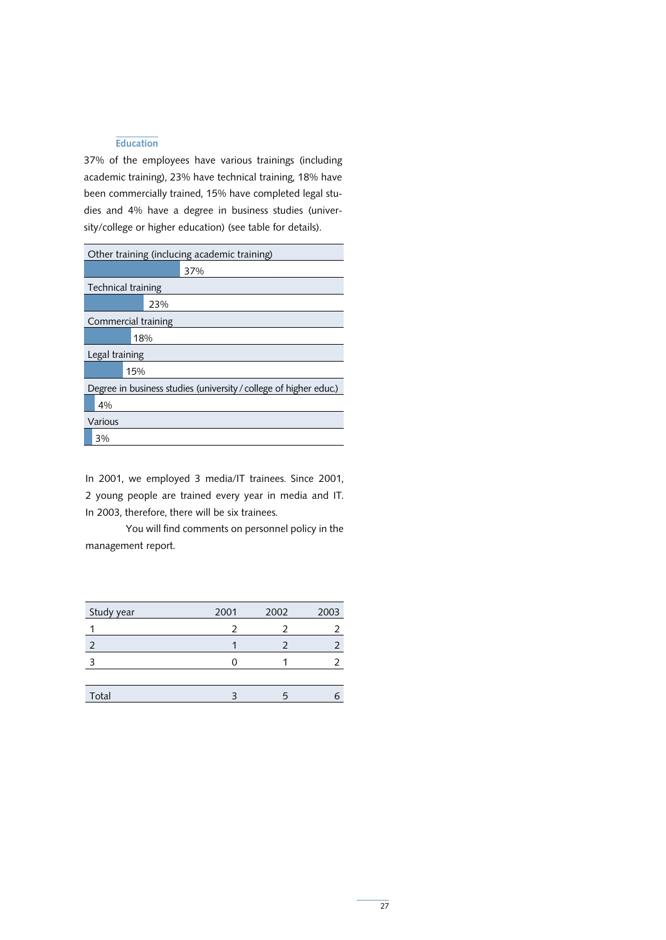#### **Education**

37% of the employees have various trainings (including academic training), 23% have technical training, 18% have been commercially trained, 15% have completed legal studies and 4% have a degree in business studies (university/college or higher education) (see table for details).

| Other training (inclucing academic training)                      |
|-------------------------------------------------------------------|
| 37%                                                               |
| Technical training                                                |
| 23%                                                               |
| Commercial training                                               |
| 18%                                                               |
| Legal training                                                    |
| 15%                                                               |
| Degree in business studies (university / college of higher educ.) |
| 4%                                                                |
| Various                                                           |
| 3%                                                                |

In 2001, we employed 3 media/IT trainees. Since 2001, 2 young people are trained every year in media and IT. In 2003, therefore, there will be six trainees.

You will find comments on personnel policy in the management report.

| Study year | 2001 | 2002 | 2003 |
|------------|------|------|------|
|            |      |      |      |
|            |      |      |      |
|            |      |      |      |
|            |      |      |      |
| Total      |      |      |      |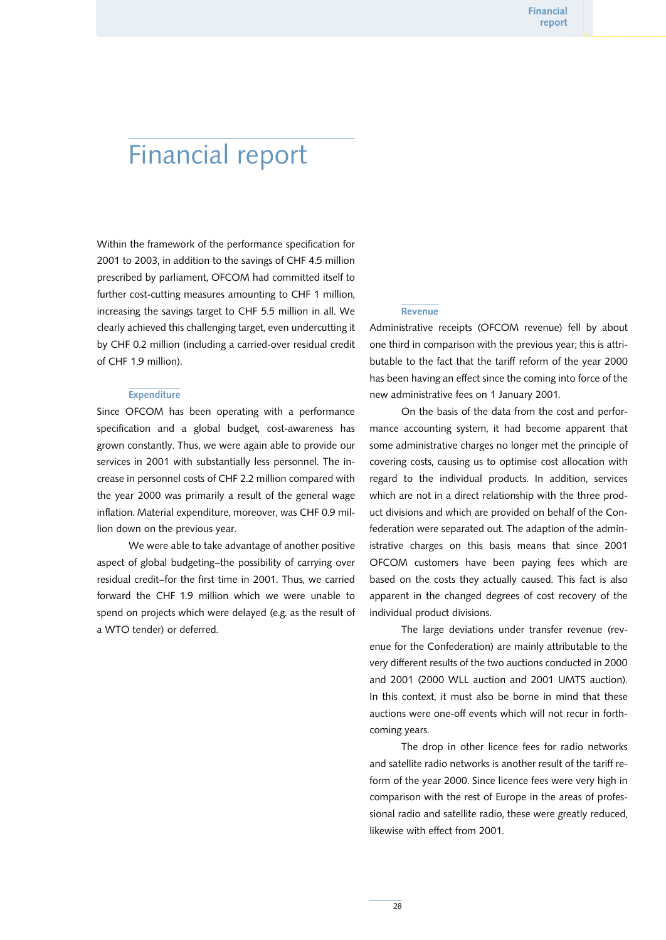## Financial report

Within the framework of the performance specification for 2001 to 2003, in addition to the savings of CHF 4.5 million prescribed by parliament, OFCOM had committed itself to further cost-cutting measures amounting to CHF 1 million, increasing the savings target to CHF 5.5 million in all. We clearly achieved this challenging target, even undercutting it by CHF 0.2 million (including a carried-over residual credit of CHF 1.9 million).

#### **Expenditure**

Since OFCOM has been operating with a performance specification and a global budget, cost-awareness has grown constantly. Thus, we were again able to provide our services in 2001 with substantially less personnel. The increase in personnel costs of CHF 2.2 million compared with the year 2000 was primarily a result of the general wage inflation. Material expenditure, moreover, was CHF 0.9 million down on the previous year.

We were able to take advantage of another positive aspect of global budgeting–the possibility of carrying over residual credit–for the first time in 2001. Thus, we carried forward the CHF 1.9 million which we were unable to spend on projects which were delayed (e.g. as the result of a WTO tender) or deferred.

#### **Revenue**

Administrative receipts (OFCOM revenue) fell by about one third in comparison with the previous year; this is attributable to the fact that the tariff reform of the year 2000 has been having an effect since the coming into force of the new administrative fees on 1 January 2001.

On the basis of the data from the cost and performance accounting system, it had become apparent that some administrative charges no longer met the principle of covering costs, causing us to optimise cost allocation with regard to the individual products. In addition, services which are not in a direct relationship with the three product divisions and which are provided on behalf of the Confederation were separated out. The adaption of the administrative charges on this basis means that since 2001 OFCOM customers have been paying fees which are based on the costs they actually caused. This fact is also apparent in the changed degrees of cost recovery of the individual product divisions.

The large deviations under transfer revenue (revenue for the Confederation) are mainly attributable to the very different results of the two auctions conducted in 2000 and 2001 (2000 WLL auction and 2001 UMTS auction). In this context, it must also be borne in mind that these auctions were one-off events which will not recur in forthcoming years.

The drop in other licence fees for radio networks and satellite radio networks is another result of the tariff reform of the year 2000. Since licence fees were very high in comparison with the rest of Europe in the areas of professional radio and satellite radio, these were greatly reduced, likewise with effect from 2001.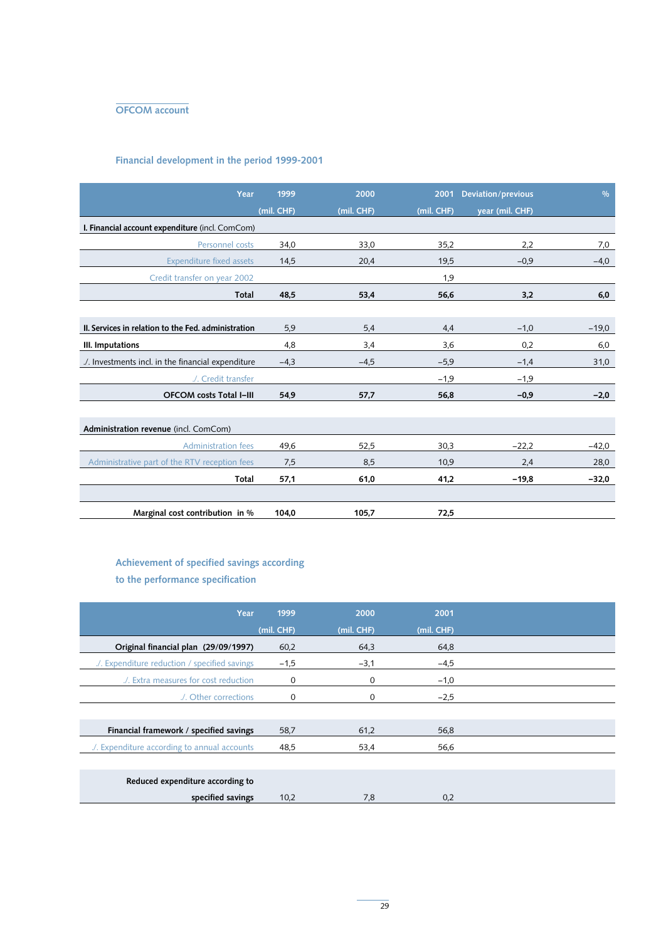

## Financial development in the period 1999-2001

| Year                                                | 1999       | 2000       | 2001       | <b>Deviation/previous</b> | $\frac{0}{0}$ |
|-----------------------------------------------------|------------|------------|------------|---------------------------|---------------|
|                                                     | (mil. CHF) | (mil. CHF) | (mil. CHF) | year (mil. CHF)           |               |
| I. Financial account expenditure (incl. ComCom)     |            |            |            |                           |               |
| Personnel costs                                     | 34,0       | 33,0       | 35,2       | 2,2                       | 7,0           |
| <b>Expenditure fixed assets</b>                     | 14,5       | 20,4       | 19,5       | $-0,9$                    | $-4,0$        |
| Credit transfer on year 2002                        |            |            | 1,9        |                           |               |
|                                                     |            |            |            |                           |               |
| <b>Total</b>                                        | 48,5       | 53,4       | 56,6       | 3,2                       | 6,0           |
|                                                     |            |            |            |                           |               |
| II. Services in relation to the Fed. administration | 5,9        | 5,4        | 4,4        | $-1,0$                    | $-19,0$       |
| III. Imputations                                    | 4,8        | 3,4        | 3,6        | 0,2                       | 6,0           |
| ./. Investments incl. in the financial expenditure  | $-4,3$     | $-4,5$     | $-5.9$     | $-1,4$                    | 31,0          |
| ./. Credit transfer                                 |            |            | $-1,9$     | $-1,9$                    |               |
| <b>OFCOM costs Total I-III</b>                      | 54.9       | 57,7       | 56,8       | $-0,9$                    | $-2,0$        |
|                                                     |            |            |            |                           |               |
| Administration revenue (incl. ComCom)               |            |            |            |                           |               |
| <b>Administration fees</b>                          | 49,6       | 52,5       | 30,3       | $-22,2$                   | $-42,0$       |
| Administrative part of the RTV reception fees       | 7,5        | 8,5        | 10,9       | 2,4                       | 28,0          |
| Total                                               | 57,1       | 61,0       | 41,2       | $-19,8$                   | $-32,0$       |
|                                                     |            |            |            |                           |               |
| Marginal cost contribution in %                     | 104,0      | 105,7      | 72,5       |                           |               |

## Achievement of specified savings according to the performance specification

| Year                                          | 1999       | 2000       | 2001       |
|-----------------------------------------------|------------|------------|------------|
|                                               | (mil. CHF) | (mil. CHF) | (mil. CHF) |
| Original financial plan (29/09/1997)          | 60,2       | 64,3       | 64,8       |
| ./. Expenditure reduction / specified savings | $-1,5$     | $-3,1$     | $-4,5$     |
| ./. Extra measures for cost reduction         | 0          | 0          | $-1,0$     |
| ./. Other corrections                         | 0          | 0          | $-2.5$     |
|                                               |            |            |            |
| Financial framework / specified savings       | 58,7       | 61,2       | 56,8       |
| ./. Expenditure according to annual accounts  | 48,5       | 53,4       | 56,6       |
|                                               |            |            |            |
| Reduced expenditure according to              |            |            |            |
| specified savings                             | 10,2       | 7,8        | 0,2        |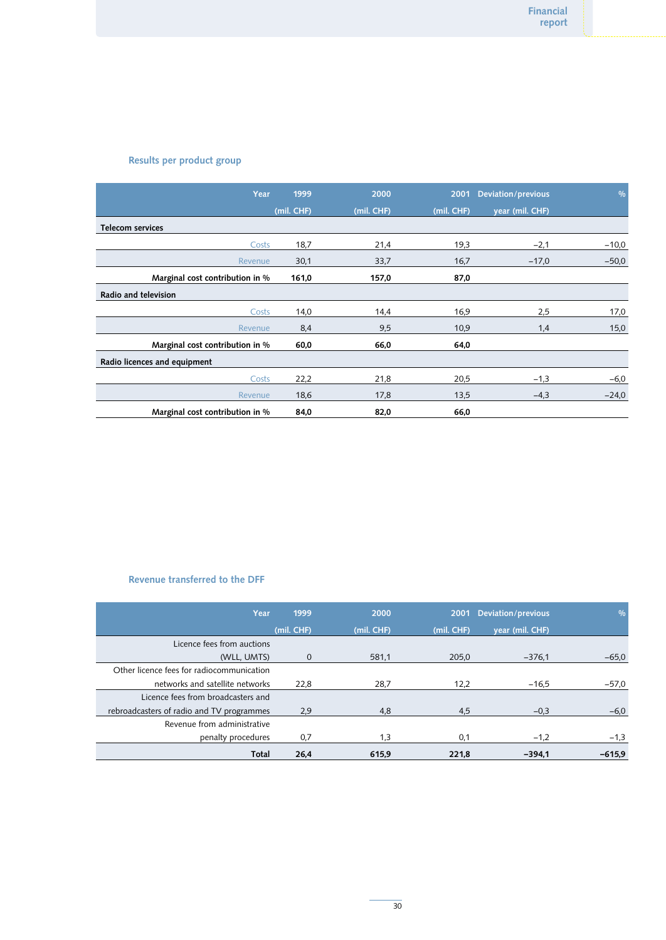### Results per product group

| Year                            | 1999         | 2000       | 2001       | <b>Deviation/previous</b> | $\frac{0}{0}$ |
|---------------------------------|--------------|------------|------------|---------------------------|---------------|
|                                 | $(mil.$ CHF) | (mil. CHF) | (mil. CHF) | year (mil. CHF)           |               |
| <b>Telecom services</b>         |              |            |            |                           |               |
| Costs                           | 18,7         | 21,4       | 19,3       | $-2,1$                    | $-10,0$       |
| Revenue                         | 30,1         | 33,7       | 16,7       | $-17,0$                   | $-50,0$       |
| Marginal cost contribution in % | 161,0        | 157,0      | 87,0       |                           |               |
| Radio and television            |              |            |            |                           |               |
| Costs                           | 14,0         | 14,4       | 16,9       | 2,5                       | 17,0          |
| Revenue                         | 8,4          | 9,5        | 10,9       | 1,4                       | 15,0          |
| Marginal cost contribution in % | 60,0         | 66,0       | 64,0       |                           |               |
| Radio licences and equipment    |              |            |            |                           |               |
| Costs                           | 22,2         | 21,8       | 20,5       | $-1,3$                    | $-6,0$        |
| Revenue                         | 18,6         | 17,8       | 13,5       | $-4,3$                    | $-24.0$       |
| Marginal cost contribution in % | 84,0         | 82,0       | 66,0       |                           |               |

## Revenue transferred to the DFF

| Year                                      | 1999        | 2000       |            | 2001 Deviation/previous | 0/0      |
|-------------------------------------------|-------------|------------|------------|-------------------------|----------|
|                                           | (mil. CHF)  | (mil. CHF) | (mil. CHF) | year (mil. CHF)         |          |
| Licence fees from auctions                |             |            |            |                         |          |
| (WLL, UMTS)                               | $\mathbf 0$ | 581,1      | 205,0      | $-376.1$                | $-65.0$  |
| Other licence fees for radiocommunication |             |            |            |                         |          |
| networks and satellite networks           | 22,8        | 28,7       | 12,2       | $-16.5$                 | $-57,0$  |
| Licence fees from broadcasters and        |             |            |            |                         |          |
| rebroadcasters of radio and TV programmes | 2,9         | 4,8        | 4,5        | $-0.3$                  | $-6,0$   |
| Revenue from administrative               |             |            |            |                         |          |
| penalty procedures                        | 0,7         | 1,3        | 0,1        | $-1,2$                  | $-1,3$   |
| Total                                     | 26.4        | 615,9      | 221.8      | $-394.1$                | $-615,9$ |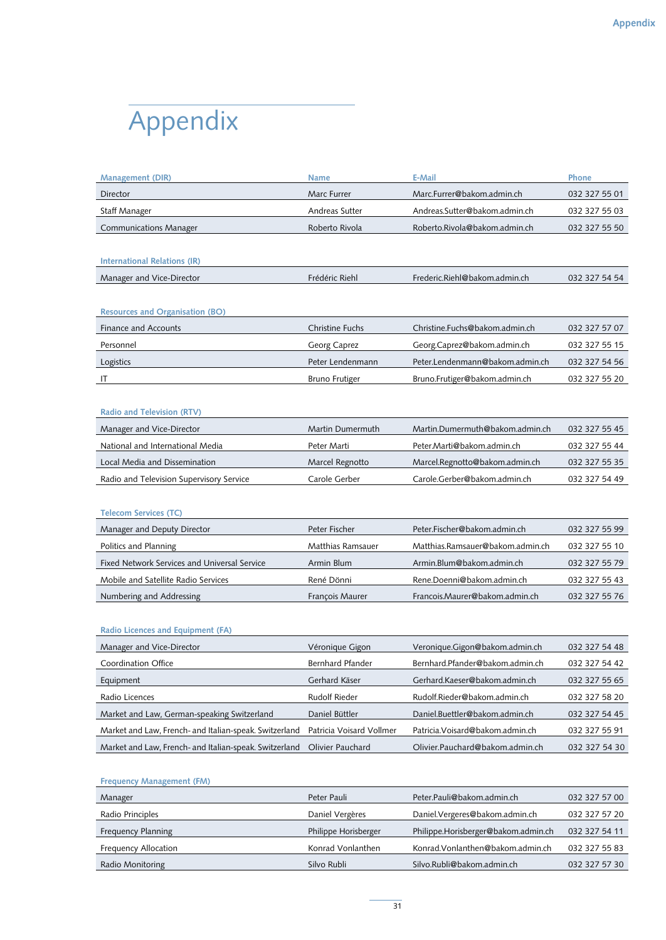# Appendix

| <b>Management (DIR)</b>                                | <b>Name</b>              | E-Mail                           | Phone         |
|--------------------------------------------------------|--------------------------|----------------------------------|---------------|
| Director                                               | Marc Furrer              | Marc.Furrer@bakom.admin.ch       | 032 327 55 01 |
| <b>Staff Manager</b>                                   | Andreas Sutter           | Andreas.Sutter@bakom.admin.ch    | 032 327 55 03 |
| <b>Communications Manager</b>                          | Roberto Rivola           | Roberto.Rivola@bakom.admin.ch    | 032 327 55 50 |
|                                                        |                          |                                  |               |
| <b>International Relations (IR)</b>                    |                          |                                  |               |
| Manager and Vice-Director                              | Frédéric Riehl           | Frederic.Riehl@bakom.admin.ch    | 032 327 54 54 |
|                                                        |                          |                                  |               |
| <b>Resources and Organisation (BO)</b>                 |                          |                                  |               |
| Finance and Accounts                                   | <b>Christine Fuchs</b>   | Christine.Fuchs@bakom.admin.ch   | 032 327 57 07 |
| Personnel                                              | Georg Caprez             | Georg.Caprez@bakom.admin.ch      | 032 327 55 15 |
| Logistics                                              | Peter Lendenmann         | Peter.Lendenmann@bakom.admin.ch  | 032 327 54 56 |
| IT                                                     | <b>Bruno Frutiger</b>    | Bruno.Frutiger@bakom.admin.ch    | 032 327 55 20 |
|                                                        |                          |                                  |               |
| <b>Radio and Television (RTV)</b>                      |                          |                                  |               |
| Manager and Vice-Director                              | Martin Dumermuth         | Martin.Dumermuth@bakom.admin.ch  | 032 327 55 45 |
| National and International Media                       | Peter Marti              | Peter.Marti@bakom.admin.ch       | 032 327 55 44 |
| Local Media and Dissemination                          | Marcel Regnotto          | Marcel.Regnotto@bakom.admin.ch   | 032 327 55 35 |
| Radio and Television Supervisory Service               | Carole Gerber            | Carole.Gerber@bakom.admin.ch     | 032 327 54 49 |
|                                                        |                          |                                  |               |
| <b>Telecom Services (TC)</b>                           |                          |                                  |               |
| Manager and Deputy Director                            | Peter Fischer            | Peter.Fischer@bakom.admin.ch     | 032 327 55 99 |
| Politics and Planning                                  | Matthias Ramsauer        | Matthias.Ramsauer@bakom.admin.ch | 032 327 55 10 |
| Fixed Network Services and Universal Service           | Armin Blum               | Armin.Blum@bakom.admin.ch        | 032 327 55 79 |
| Mobile and Satellite Radio Services                    | René Dönni               | Rene.Doenni@bakom.admin.ch       | 032 327 55 43 |
| Numbering and Addressing                               | François Maurer          | Francois.Maurer@bakom.admin.ch   | 032 327 55 76 |
|                                                        |                          |                                  |               |
| Radio Licences and Equipment (FA)                      |                          |                                  |               |
| Manager and Vice-Director                              | Véronique Gigon          | Veronique.Gigon@bakom.admin.ch   | 032 327 54 48 |
| Coordination Office                                    | Bernhard Pfander         | Bernhard.Pfander@bakom.admin.ch  | 032 327 54 42 |
| Equipment                                              | Gerhard Käser            | Gerhard.Kaeser@bakom.admin.ch    | 032 327 55 65 |
| Radio Licences                                         | Rudolf Rieder            | Rudolf.Rieder@bakom.admin.ch     | 032 327 58 20 |
| Market and Law, German-speaking Switzerland            | Daniel Büttler           | Daniel.Buettler@bakom.admin.ch   | 032 327 54 45 |
| Market and Law, French- and Italian-speak. Switzerland | Patricia Voisard Vollmer | Patricia.Voisard@bakom.admin.ch  | 032 327 55 91 |
| Market and Law, French- and Italian-speak. Switzerland | Olivier Pauchard         | Olivier.Pauchard@bakom.admin.ch  | 032 327 54 30 |
|                                                        |                          |                                  |               |
| <b>Frequency Management (FM)</b>                       |                          |                                  |               |
| Manager                                                | Peter Pauli              | Peter.Pauli@bakom.admin.ch       | 032 327 57 00 |

| Manager                     | Peter Pauli          | Peter.Pauli@bakom.admin.ch          | 032 327 57 00 |
|-----------------------------|----------------------|-------------------------------------|---------------|
| Radio Principles            | Daniel Vergères      | Daniel.Vergeres@bakom.admin.ch      | 032 327 57 20 |
| <b>Frequency Planning</b>   | Philippe Horisberger | Philippe.Horisberger@bakom.admin.ch | 032 327 54 11 |
| <b>Frequency Allocation</b> | Konrad Vonlanthen    | Konrad. Vonlanthen@bakom.admin.ch   | 032 327 55 83 |
| Radio Monitoring            | Silvo Rubli          | Silvo.Rubli@bakom.admin.ch          | 032 327 57 30 |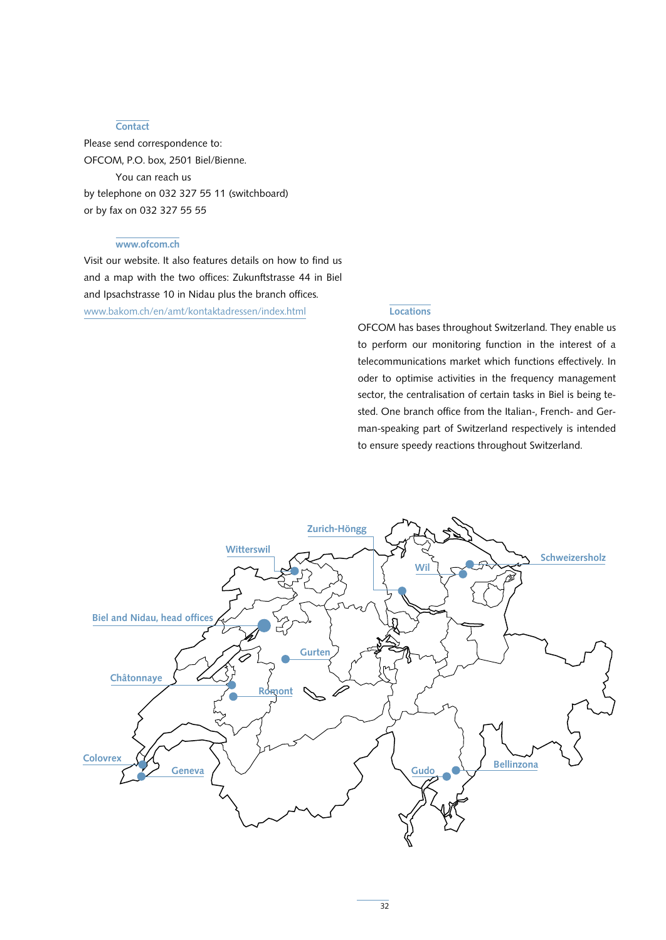#### **Contact**

Please send correspondence to: OFCOM, P.O. box, 2501 Biel/Bienne. You can reach us by telephone on 032 327 55 11 (switchboard) or by fax on 032 327 55 55

#### www.ofcom.ch

Visit our website. It also features details on how to find us and a map with the two offices: Zukunftstrasse 44 in Biel and Ipsachstrasse 10 in Nidau plus the branch offices. www.bakom.ch/en/amt/kontaktadressen/index.html

## **Locations**

OFCOM has bases throughout Switzerland. They enable us to perform our monitoring function in the interest of a telecommunications market which functions effectively. In oder to optimise activities in the frequency management sector, the centralisation of certain tasks in Biel is being tested. One branch office from the Italian-, French- and German-speaking part of Switzerland respectively is intended to ensure speedy reactions throughout Switzerland.

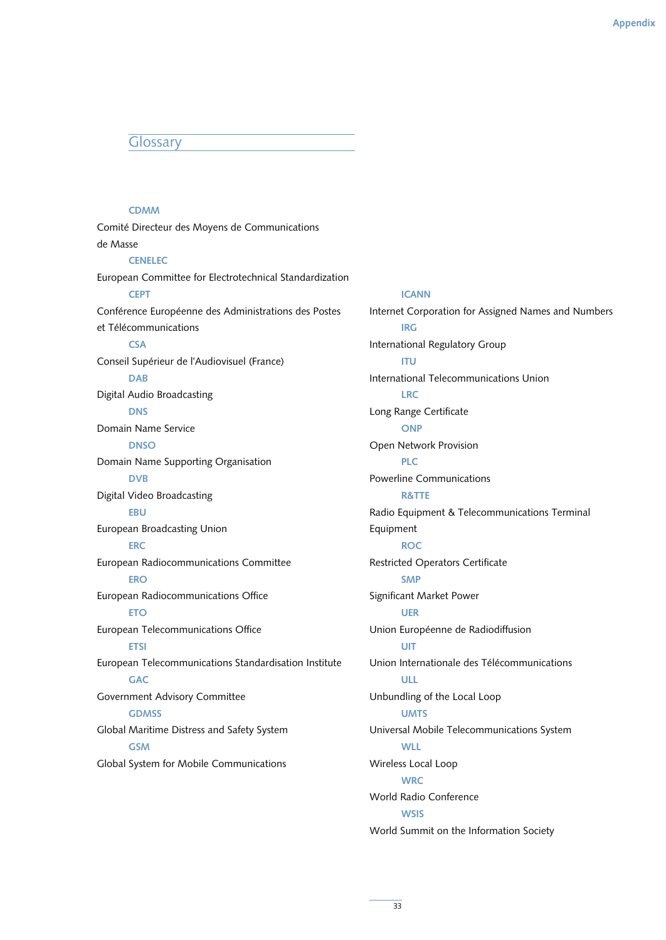## Glossary

### CDMM

Comité Directeur des Moyens de Communications de Masse **CENELEC** European Committee for Electrotechnical Standardization **CEPT** Conférence Européenne des Administrations des Postes et Télécommunications **CSA** Conseil Supérieur de l'Audiovisuel (France) DAB Digital Audio Broadcasting DNS Domain Name Service **DNSO** Domain Name Supporting Organisation DVB Digital Video Broadcasting **EBU** European Broadcasting Union **ERC** European Radiocommunications Committee **ERO** European Radiocommunications Office **ETO** European Telecommunications Office ETSI European Telecommunications Standardisation Institute **GAC** Government Advisory Committee **GDMSS** Global Maritime Distress and Safety System **GSM** Global System for Mobile Communications

#### ICANN

Internet Corporation for Assigned Names and Numbers IRG International Regulatory Group ITU International Telecommunications Union LRC Long Range Certificate **ONP** Open Network Provision PLC Powerline Communications R&TTE Radio Equipment & Telecommunications Terminal Equipment **ROC** Restricted Operators Certificate SMP Significant Market Power UER Union Européenne de Radiodiffusion UIT Union Internationale des Télécommunications ULL Unbundling of the Local Loop **UMTS** Universal Mobile Telecommunications System **WLL** Wireless Local Loop **WRC** World Radio Conference **WSIS** World Summit on the Information Society